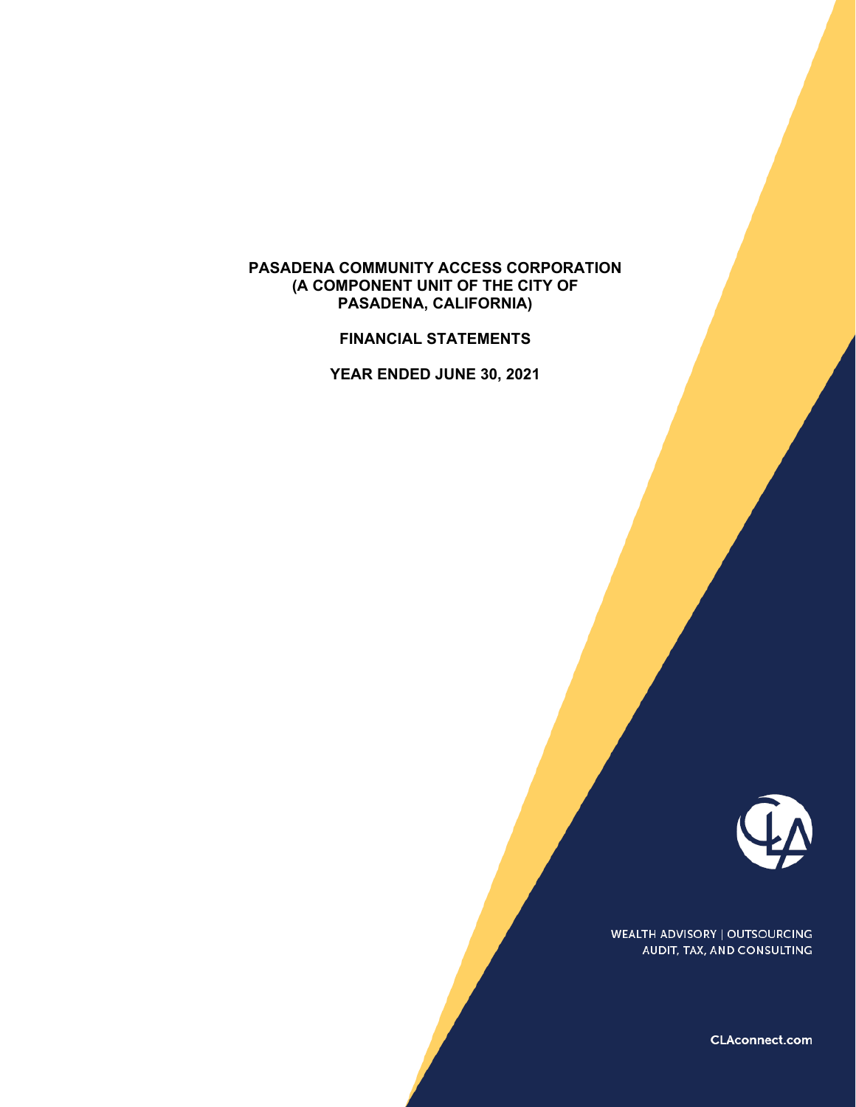## **PASADENA COMMUNITY ACCESS CORPORATION (A COMPONENT UNIT OF THE CITY OF PASADENA, CALIFORNIA)**

**FINANCIAL STATEMENTS** 

**YEAR ENDED JUNE 30, 2021** 



**WEALTH ADVISORY | OUTSOURCING** AUDIT, TAX, AND CONSULTING

CLAconnect.com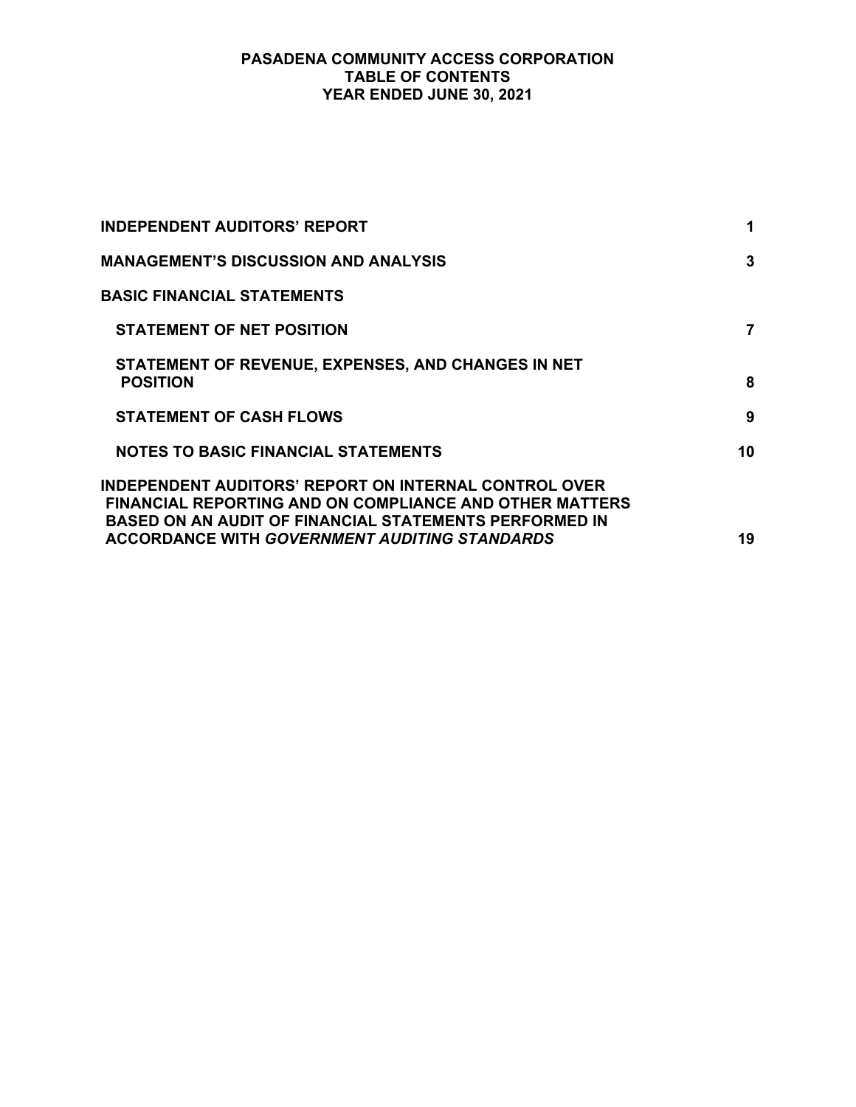# **PASADENA COMMUNITY ACCESS CORPORATION TABLE OF CONTENTS YEAR ENDED JUNE 30, 2021**

| <b>INDEPENDENT AUDITORS' REPORT</b>                                                                                                                                                                                                              | 1  |
|--------------------------------------------------------------------------------------------------------------------------------------------------------------------------------------------------------------------------------------------------|----|
| <b>MANAGEMENT'S DISCUSSION AND ANALYSIS</b>                                                                                                                                                                                                      | 3  |
| BASIC FINANCIAL STATEMENTS                                                                                                                                                                                                                       |    |
| <b>STATEMENT OF NET POSITION</b>                                                                                                                                                                                                                 | 7  |
| STATEMENT OF REVENUE, EXPENSES, AND CHANGES IN NET<br><b>POSITION</b>                                                                                                                                                                            | 8  |
| <b>STATEMENT OF CASH FLOWS</b>                                                                                                                                                                                                                   | 9  |
| <b>NOTES TO BASIC FINANCIAL STATEMENTS</b>                                                                                                                                                                                                       | 10 |
| INDEPENDENT AUDITORS' REPORT ON INTERNAL CONTROL OVER<br><b>FINANCIAL REPORTING AND ON COMPLIANCE AND OTHER MATTERS</b><br><b>BASED ON AN AUDIT OF FINANCIAL STATEMENTS PERFORMED IN</b><br><b>ACCORDANCE WITH GOVERNMENT AUDITING STANDARDS</b> | 19 |
|                                                                                                                                                                                                                                                  |    |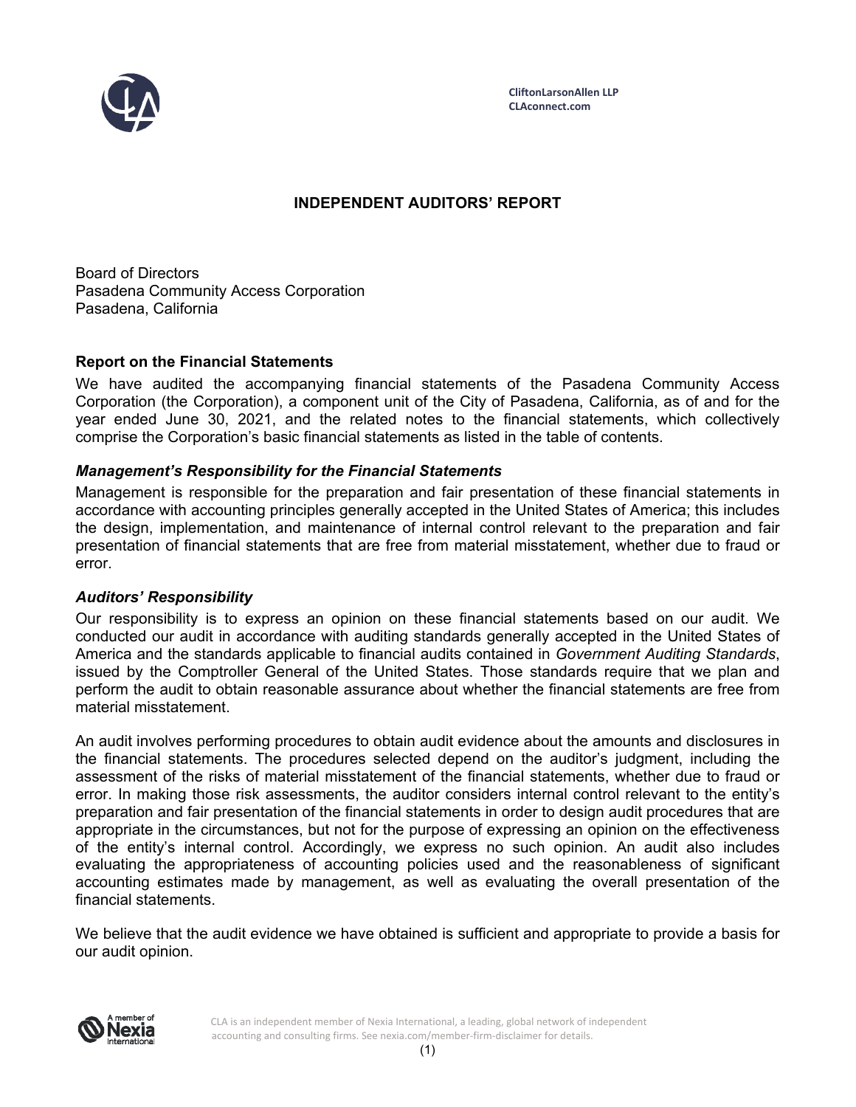

# **INDEPENDENT AUDITORS' REPORT**

Board of Directors Pasadena Community Access Corporation Pasadena, California

## **Report on the Financial Statements**

We have audited the accompanying financial statements of the Pasadena Community Access Corporation (the Corporation), a component unit of the City of Pasadena, California, as of and for the year ended June 30, 2021, and the related notes to the financial statements, which collectively comprise the Corporation's basic financial statements as listed in the table of contents.

## *Management's Responsibility for the Financial Statements*

Management is responsible for the preparation and fair presentation of these financial statements in accordance with accounting principles generally accepted in the United States of America; this includes the design, implementation, and maintenance of internal control relevant to the preparation and fair presentation of financial statements that are free from material misstatement, whether due to fraud or error.

### *Auditors' Responsibility*

Our responsibility is to express an opinion on these financial statements based on our audit. We conducted our audit in accordance with auditing standards generally accepted in the United States of America and the standards applicable to financial audits contained in *Government Auditing Standards*, issued by the Comptroller General of the United States. Those standards require that we plan and perform the audit to obtain reasonable assurance about whether the financial statements are free from material misstatement.

An audit involves performing procedures to obtain audit evidence about the amounts and disclosures in the financial statements. The procedures selected depend on the auditor's judgment, including the assessment of the risks of material misstatement of the financial statements, whether due to fraud or error. In making those risk assessments, the auditor considers internal control relevant to the entity's preparation and fair presentation of the financial statements in order to design audit procedures that are appropriate in the circumstances, but not for the purpose of expressing an opinion on the effectiveness of the entity's internal control. Accordingly, we express no such opinion. An audit also includes evaluating the appropriateness of accounting policies used and the reasonableness of significant accounting estimates made by management, as well as evaluating the overall presentation of the financial statements.

We believe that the audit evidence we have obtained is sufficient and appropriate to provide a basis for our audit opinion.



CLA is an independent member of Nexia International, a leading, global network of independent accounting and consulting firms. See nexia.com/member‐firm‐disclaimer for details.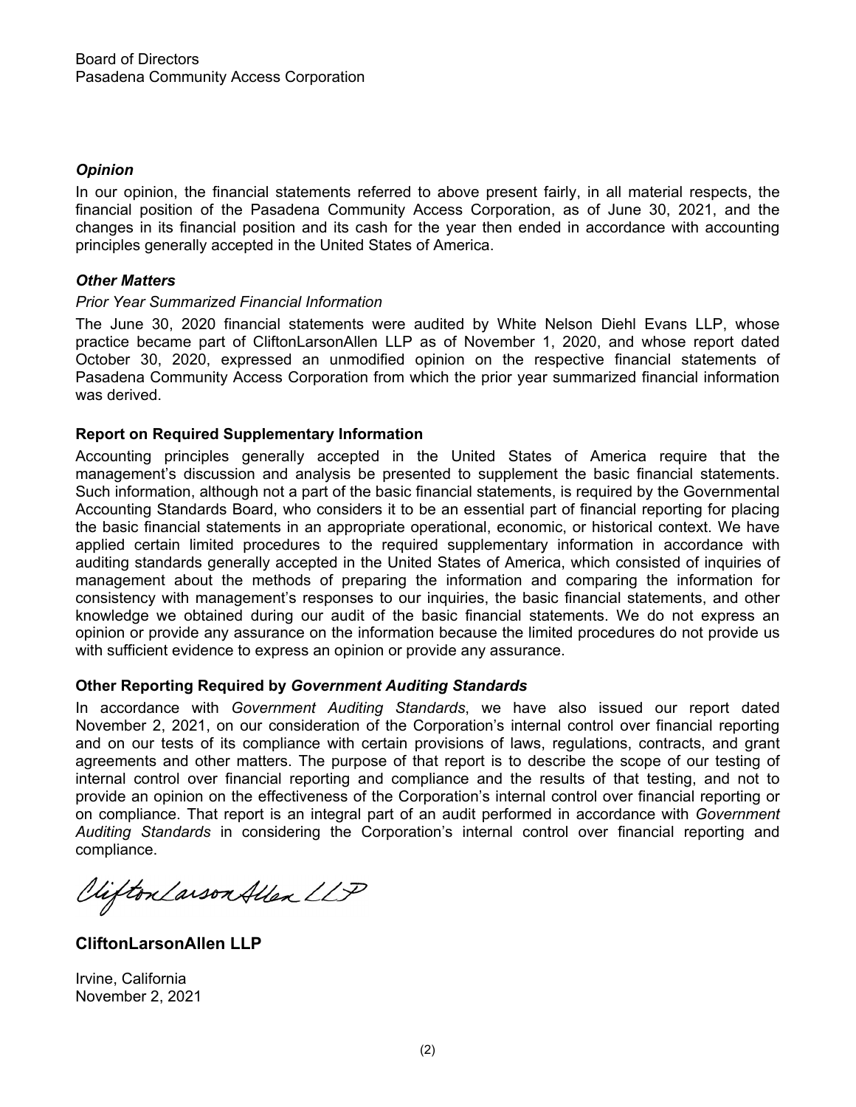## *Opinion*

In our opinion, the financial statements referred to above present fairly, in all material respects, the financial position of the Pasadena Community Access Corporation, as of June 30, 2021, and the changes in its financial position and its cash for the year then ended in accordance with accounting principles generally accepted in the United States of America.

## *Other Matters*

### *Prior Year Summarized Financial Information*

The June 30, 2020 financial statements were audited by White Nelson Diehl Evans LLP, whose practice became part of CliftonLarsonAllen LLP as of November 1, 2020, and whose report dated October 30, 2020, expressed an unmodified opinion on the respective financial statements of Pasadena Community Access Corporation from which the prior year summarized financial information was derived.

## **Report on Required Supplementary Information**

Accounting principles generally accepted in the United States of America require that the management's discussion and analysis be presented to supplement the basic financial statements. Such information, although not a part of the basic financial statements, is required by the Governmental Accounting Standards Board, who considers it to be an essential part of financial reporting for placing the basic financial statements in an appropriate operational, economic, or historical context. We have applied certain limited procedures to the required supplementary information in accordance with auditing standards generally accepted in the United States of America, which consisted of inquiries of management about the methods of preparing the information and comparing the information for consistency with management's responses to our inquiries, the basic financial statements, and other knowledge we obtained during our audit of the basic financial statements. We do not express an opinion or provide any assurance on the information because the limited procedures do not provide us with sufficient evidence to express an opinion or provide any assurance.

### **Other Reporting Required by** *Government Auditing Standards*

In accordance with *Government Auditing Standards*, we have also issued our report dated November 2, 2021, on our consideration of the Corporation's internal control over financial reporting and on our tests of its compliance with certain provisions of laws, regulations, contracts, and grant agreements and other matters. The purpose of that report is to describe the scope of our testing of internal control over financial reporting and compliance and the results of that testing, and not to provide an opinion on the effectiveness of the Corporation's internal control over financial reporting or on compliance. That report is an integral part of an audit performed in accordance with *Government Auditing Standards* in considering the Corporation's internal control over financial reporting and compliance.

Viifton Larson Allen LLP

**CliftonLarsonAllen LLP** 

Irvine, California November 2, 2021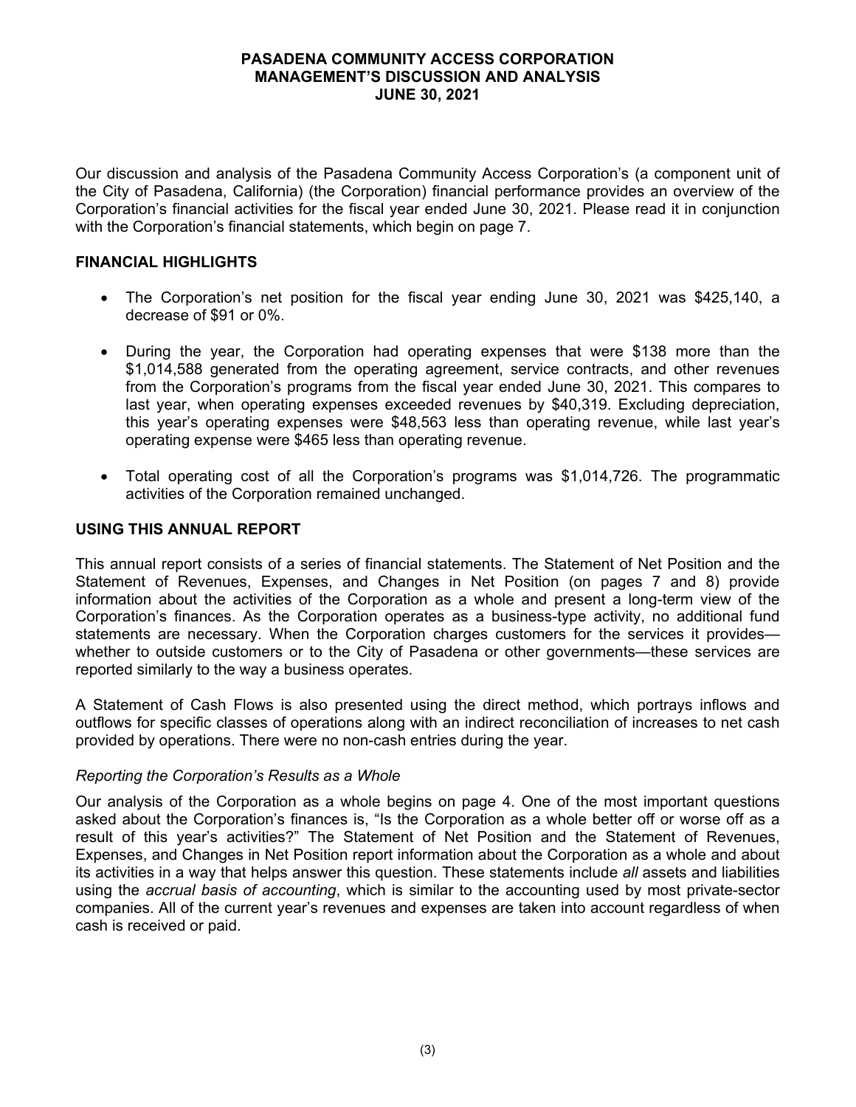Our discussion and analysis of the Pasadena Community Access Corporation's (a component unit of the City of Pasadena, California) (the Corporation) financial performance provides an overview of the Corporation's financial activities for the fiscal year ended June 30, 2021. Please read it in conjunction with the Corporation's financial statements, which begin on page 7.

# **FINANCIAL HIGHLIGHTS**

- The Corporation's net position for the fiscal year ending June 30, 2021 was \$425,140, a decrease of \$91 or 0%.
- During the year, the Corporation had operating expenses that were \$138 more than the \$1,014,588 generated from the operating agreement, service contracts, and other revenues from the Corporation's programs from the fiscal year ended June 30, 2021. This compares to last year, when operating expenses exceeded revenues by \$40,319. Excluding depreciation, this year's operating expenses were \$48,563 less than operating revenue, while last year's operating expense were \$465 less than operating revenue.
- Total operating cost of all the Corporation's programs was \$1,014,726. The programmatic activities of the Corporation remained unchanged.

# **USING THIS ANNUAL REPORT**

This annual report consists of a series of financial statements. The Statement of Net Position and the Statement of Revenues, Expenses, and Changes in Net Position (on pages 7 and 8) provide information about the activities of the Corporation as a whole and present a long-term view of the Corporation's finances. As the Corporation operates as a business-type activity, no additional fund statements are necessary. When the Corporation charges customers for the services it provides whether to outside customers or to the City of Pasadena or other governments—these services are reported similarly to the way a business operates.

A Statement of Cash Flows is also presented using the direct method, which portrays inflows and outflows for specific classes of operations along with an indirect reconciliation of increases to net cash provided by operations. There were no non-cash entries during the year.

### *Reporting the Corporation's Results as a Whole*

Our analysis of the Corporation as a whole begins on page 4. One of the most important questions asked about the Corporation's finances is, "Is the Corporation as a whole better off or worse off as a result of this year's activities?" The Statement of Net Position and the Statement of Revenues, Expenses, and Changes in Net Position report information about the Corporation as a whole and about its activities in a way that helps answer this question. These statements include *all* assets and liabilities using the *accrual basis of accounting*, which is similar to the accounting used by most private-sector companies. All of the current year's revenues and expenses are taken into account regardless of when cash is received or paid.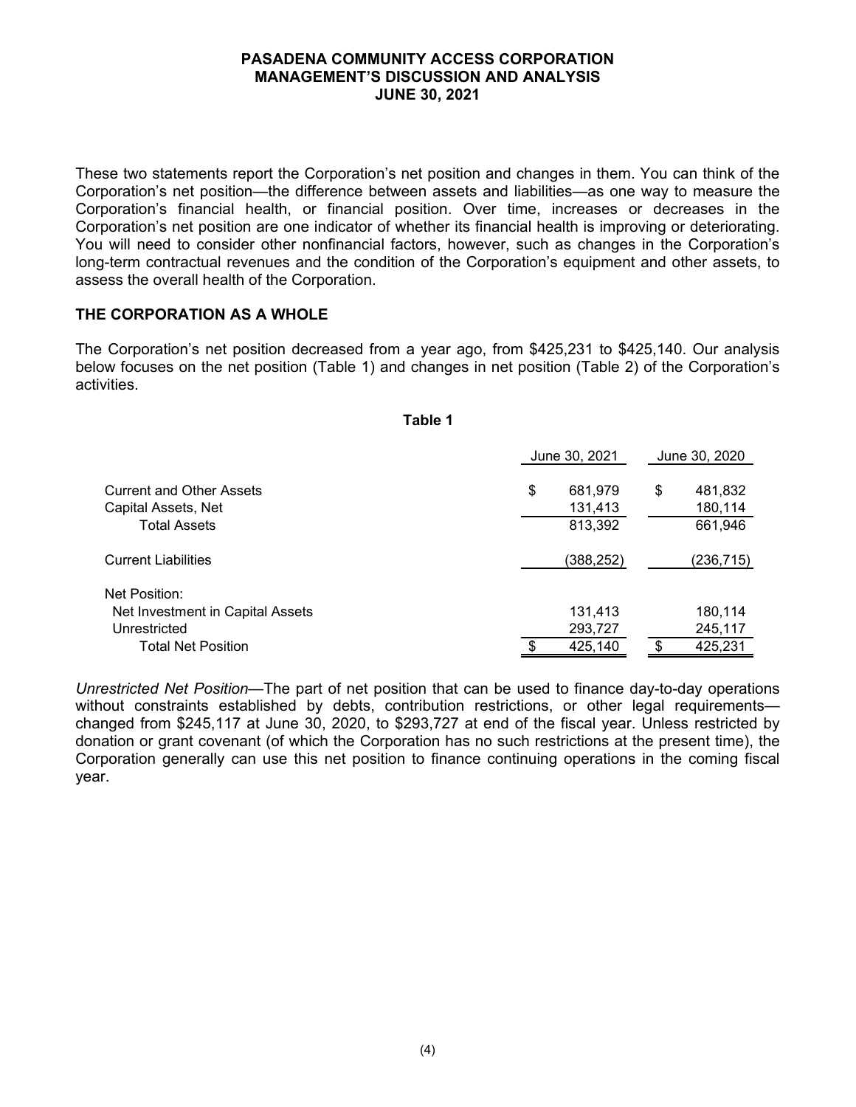These two statements report the Corporation's net position and changes in them. You can think of the Corporation's net position—the difference between assets and liabilities—as one way to measure the Corporation's financial health, or financial position. Over time, increases or decreases in the Corporation's net position are one indicator of whether its financial health is improving or deteriorating. You will need to consider other nonfinancial factors, however, such as changes in the Corporation's long-term contractual revenues and the condition of the Corporation's equipment and other assets, to assess the overall health of the Corporation.

## **THE CORPORATION AS A WHOLE**

The Corporation's net position decreased from a year ago, from \$425,231 to \$425,140. Our analysis below focuses on the net position (Table 1) and changes in net position (Table 2) of the Corporation's activities.

| Table 1                          |               |    |               |
|----------------------------------|---------------|----|---------------|
|                                  | June 30, 2021 |    | June 30, 2020 |
| Current and Other Assets         | \$<br>681,979 | \$ | 481,832       |
| Capital Assets, Net              | 131,413       |    | 180,114       |
| <b>Total Assets</b>              | 813,392       |    | 661,946       |
| <b>Current Liabilities</b>       | (388,252)     |    | (236,715)     |
| Net Position:                    |               |    |               |
| Net Investment in Capital Assets | 131,413       |    | 180,114       |
| Unrestricted                     | 293,727       |    | 245,117       |
| <b>Total Net Position</b>        | 425,140       | ¢  | 425,231       |

*Unrestricted Net Position*—The part of net position that can be used to finance day-to-day operations without constraints established by debts, contribution restrictions, or other legal requirements changed from \$245,117 at June 30, 2020, to \$293,727 at end of the fiscal year. Unless restricted by donation or grant covenant (of which the Corporation has no such restrictions at the present time), the Corporation generally can use this net position to finance continuing operations in the coming fiscal year.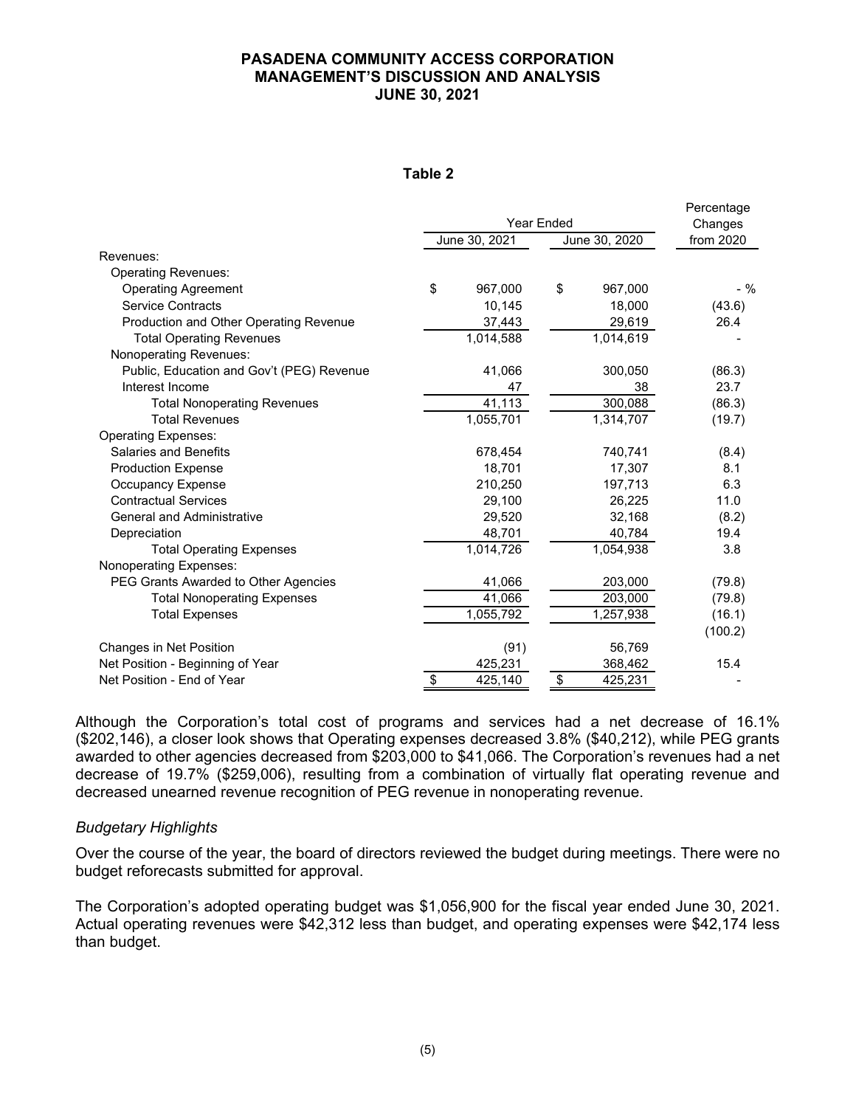#### **Table 2**

|                                           |    | Percentage<br>Changes |                   |               |           |  |
|-------------------------------------------|----|-----------------------|-------------------|---------------|-----------|--|
|                                           |    | June 30, 2021         | <b>Year Ended</b> | June 30, 2020 | from 2020 |  |
| Revenues:                                 |    |                       |                   |               |           |  |
| <b>Operating Revenues:</b>                |    |                       |                   |               |           |  |
| <b>Operating Agreement</b>                | \$ | 967.000               | \$                | 967,000       | $-$ %     |  |
| <b>Service Contracts</b>                  |    | 10,145                |                   | 18,000        | (43.6)    |  |
| Production and Other Operating Revenue    |    | 37,443                |                   | 29,619        | 26.4      |  |
| <b>Total Operating Revenues</b>           |    | 1,014,588             |                   | 1,014,619     |           |  |
| <b>Nonoperating Revenues:</b>             |    |                       |                   |               |           |  |
| Public, Education and Gov't (PEG) Revenue |    | 41,066                |                   | 300,050       | (86.3)    |  |
| Interest Income                           |    | 47                    |                   | 38            | 23.7      |  |
| <b>Total Nonoperating Revenues</b>        |    | 41,113                |                   | 300,088       | (86.3)    |  |
| <b>Total Revenues</b>                     |    | 1,055,701             |                   | 1,314,707     | (19.7)    |  |
| <b>Operating Expenses:</b>                |    |                       |                   |               |           |  |
| Salaries and Benefits                     |    | 678,454               |                   | 740,741       | (8.4)     |  |
| <b>Production Expense</b>                 |    | 18,701                |                   | 17,307        | 8.1       |  |
| <b>Occupancy Expense</b>                  |    | 210,250               |                   | 197,713       | 6.3       |  |
| <b>Contractual Services</b>               |    | 29,100                |                   | 26,225        | 11.0      |  |
| <b>General and Administrative</b>         |    | 29,520                |                   | 32,168        | (8.2)     |  |
| Depreciation                              |    | 48,701                |                   | 40,784        | 19.4      |  |
| <b>Total Operating Expenses</b>           |    | 1,014,726             |                   | 1,054,938     | 3.8       |  |
| Nonoperating Expenses:                    |    |                       |                   |               |           |  |
| PEG Grants Awarded to Other Agencies      |    | 41,066                |                   | 203,000       | (79.8)    |  |
| <b>Total Nonoperating Expenses</b>        |    | 41,066                |                   | 203,000       | (79.8)    |  |
| <b>Total Expenses</b>                     |    | 1,055,792             |                   | 1,257,938     | (16.1)    |  |
|                                           |    |                       |                   |               | (100.2)   |  |
| Changes in Net Position                   |    | (91)                  |                   | 56,769        |           |  |
| Net Position - Beginning of Year          |    | 425,231               |                   | 368,462       | 15.4      |  |
| Net Position - End of Year                | \$ | 425,140               | \$                | 425,231       |           |  |

Although the Corporation's total cost of programs and services had a net decrease of 16.1% (\$202,146), a closer look shows that Operating expenses decreased 3.8% (\$40,212), while PEG grants awarded to other agencies decreased from \$203,000 to \$41,066. The Corporation's revenues had a net decrease of 19.7% (\$259,006), resulting from a combination of virtually flat operating revenue and decreased unearned revenue recognition of PEG revenue in nonoperating revenue.

### *Budgetary Highlights*

Over the course of the year, the board of directors reviewed the budget during meetings. There were no budget reforecasts submitted for approval.

The Corporation's adopted operating budget was \$1,056,900 for the fiscal year ended June 30, 2021. Actual operating revenues were \$42,312 less than budget, and operating expenses were \$42,174 less than budget.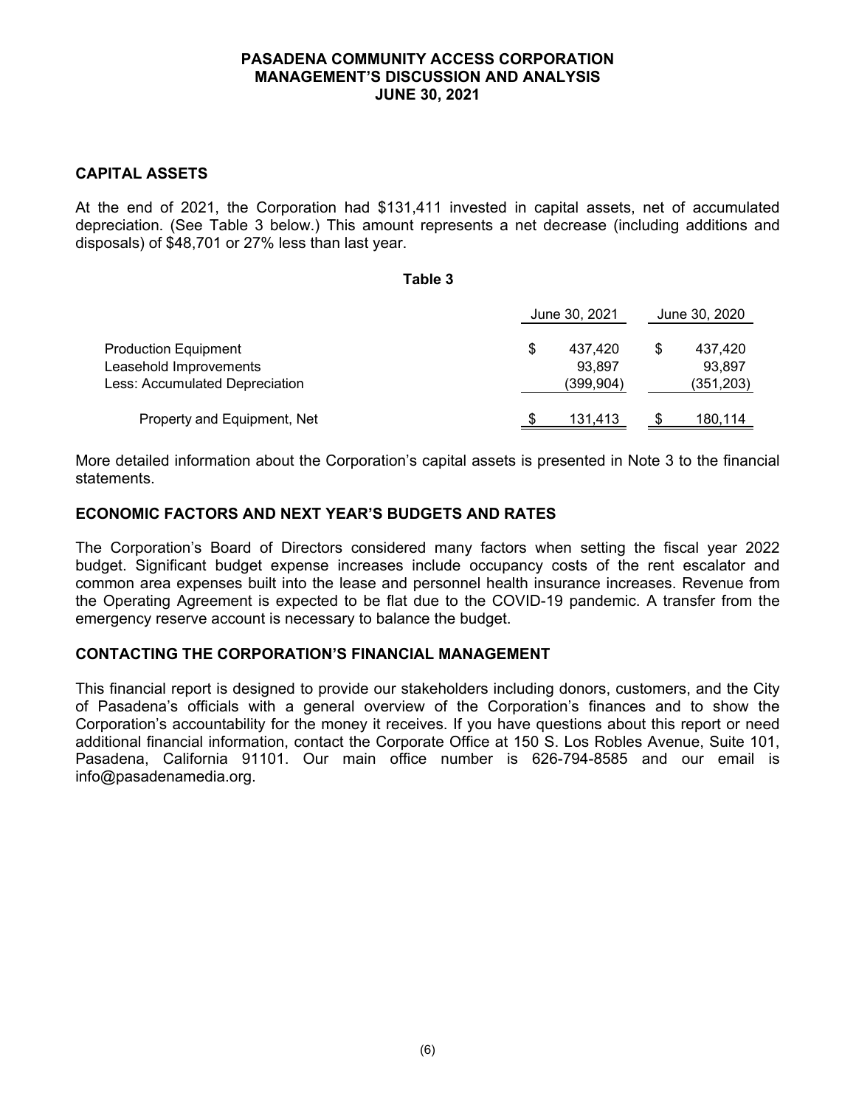## **CAPITAL ASSETS**

At the end of 2021, the Corporation had \$131,411 invested in capital assets, net of accumulated depreciation. (See Table 3 below.) This amount represents a net decrease (including additions and disposals) of \$48,701 or 27% less than last year.

#### **Table 3**

|                                                                                         | June 30, 2021 |                                | June 30, 2020 |                                 |
|-----------------------------------------------------------------------------------------|---------------|--------------------------------|---------------|---------------------------------|
| <b>Production Equipment</b><br>Leasehold Improvements<br>Less: Accumulated Depreciation | S             | 437.420<br>93.897<br>(399,904) |               | 437,420<br>93.897<br>(351, 203) |
| Property and Equipment, Net                                                             |               | 131,413                        |               | 180,114                         |

More detailed information about the Corporation's capital assets is presented in Note 3 to the financial statements.

## **ECONOMIC FACTORS AND NEXT YEAR'S BUDGETS AND RATES**

The Corporation's Board of Directors considered many factors when setting the fiscal year 2022 budget. Significant budget expense increases include occupancy costs of the rent escalator and common area expenses built into the lease and personnel health insurance increases. Revenue from the Operating Agreement is expected to be flat due to the COVID-19 pandemic. A transfer from the emergency reserve account is necessary to balance the budget.

## **CONTACTING THE CORPORATION'S FINANCIAL MANAGEMENT**

This financial report is designed to provide our stakeholders including donors, customers, and the City of Pasadena's officials with a general overview of the Corporation's finances and to show the Corporation's accountability for the money it receives. If you have questions about this report or need additional financial information, contact the Corporate Office at 150 S. Los Robles Avenue, Suite 101, Pasadena, California 91101. Our main office number is 626-794-8585 and our email is info@pasadenamedia.org.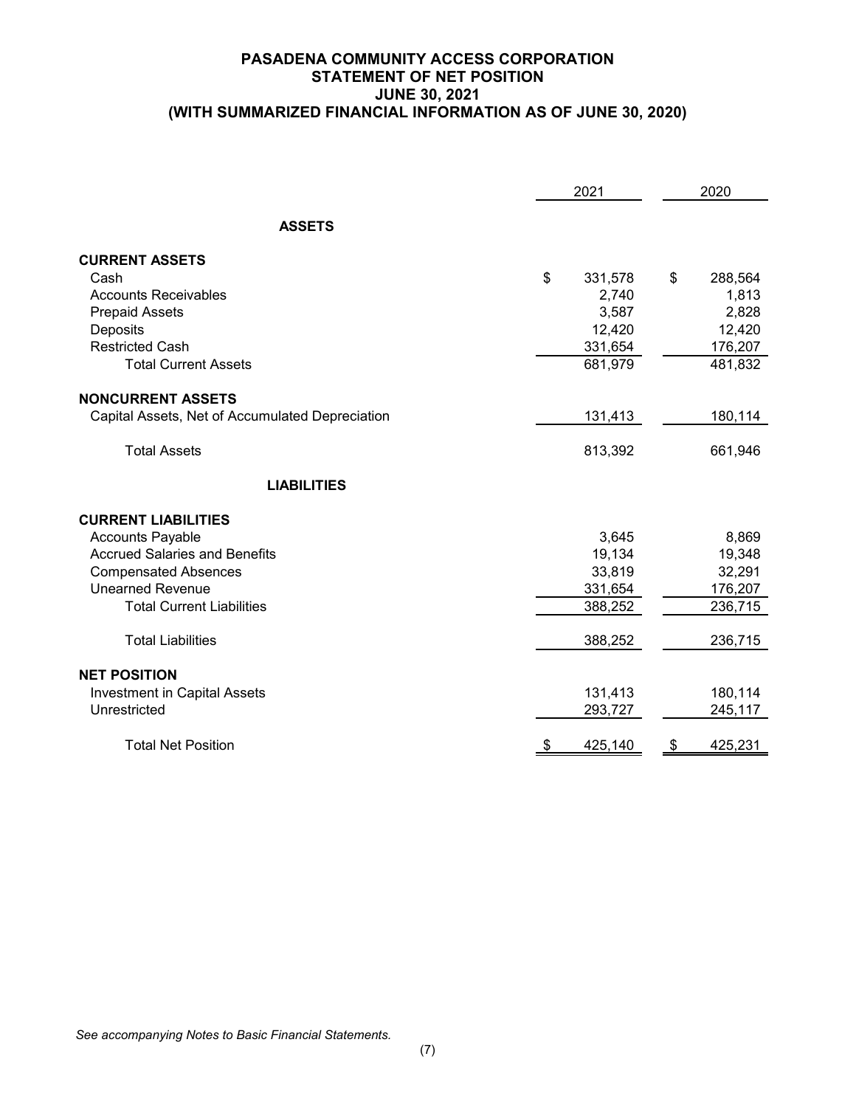### **PASADENA COMMUNITY ACCESS CORPORATION STATEMENT OF NET POSITION JUNE 30, 2021 (WITH SUMMARIZED FINANCIAL INFORMATION AS OF JUNE 30, 2020)**

|                                                 | 2021          | 2020          |  |
|-------------------------------------------------|---------------|---------------|--|
| <b>ASSETS</b>                                   |               |               |  |
| <b>CURRENT ASSETS</b>                           |               |               |  |
| Cash                                            | \$<br>331,578 | \$<br>288,564 |  |
| <b>Accounts Receivables</b>                     | 2,740         | 1,813         |  |
| <b>Prepaid Assets</b>                           | 3,587         | 2,828         |  |
| Deposits                                        | 12,420        | 12,420        |  |
| <b>Restricted Cash</b>                          | 331,654       | 176,207       |  |
| <b>Total Current Assets</b>                     | 681,979       | 481,832       |  |
| <b>NONCURRENT ASSETS</b>                        |               |               |  |
| Capital Assets, Net of Accumulated Depreciation | 131,413       | 180,114       |  |
| <b>Total Assets</b>                             | 813,392       | 661,946       |  |
| <b>LIABILITIES</b>                              |               |               |  |
| <b>CURRENT LIABILITIES</b>                      |               |               |  |
| <b>Accounts Payable</b>                         | 3,645         | 8,869         |  |
| <b>Accrued Salaries and Benefits</b>            | 19,134        | 19,348        |  |
| <b>Compensated Absences</b>                     | 33,819        | 32,291        |  |
| <b>Unearned Revenue</b>                         | 331,654       | 176,207       |  |
| <b>Total Current Liabilities</b>                | 388,252       | 236,715       |  |
| <b>Total Liabilities</b>                        | 388,252       | 236,715       |  |
| <b>NET POSITION</b>                             |               |               |  |
| <b>Investment in Capital Assets</b>             | 131,413       | 180,114       |  |
| Unrestricted                                    | 293,727       | 245,117       |  |
| <b>Total Net Position</b>                       | 425,140       | 425,231       |  |

*See accompanying Notes to Basic Financial Statements.*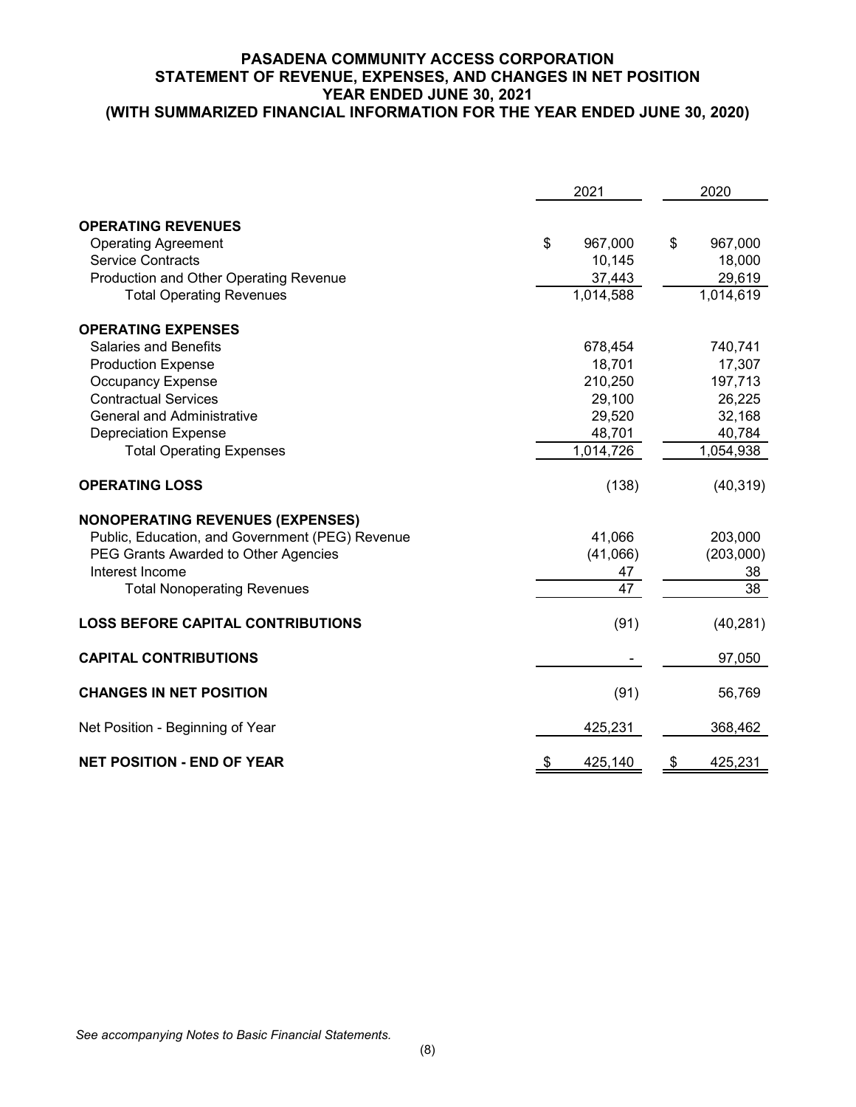### **PASADENA COMMUNITY ACCESS CORPORATION STATEMENT OF REVENUE, EXPENSES, AND CHANGES IN NET POSITION YEAR ENDED JUNE 30, 2021 (WITH SUMMARIZED FINANCIAL INFORMATION FOR THE YEAR ENDED JUNE 30, 2020)**

|                                                                                                                                                                                                                             | 2021                                                                    | 2020                                                                    |  |
|-----------------------------------------------------------------------------------------------------------------------------------------------------------------------------------------------------------------------------|-------------------------------------------------------------------------|-------------------------------------------------------------------------|--|
| <b>OPERATING REVENUES</b><br><b>Operating Agreement</b><br><b>Service Contracts</b><br>Production and Other Operating Revenue<br><b>Total Operating Revenues</b>                                                            | \$<br>967,000<br>10,145<br>37,443<br>1,014,588                          | \$<br>967,000<br>18,000<br>29,619<br>1,014,619                          |  |
| <b>OPERATING EXPENSES</b>                                                                                                                                                                                                   |                                                                         |                                                                         |  |
| <b>Salaries and Benefits</b><br><b>Production Expense</b><br><b>Occupancy Expense</b><br><b>Contractual Services</b><br><b>General and Administrative</b><br><b>Depreciation Expense</b><br><b>Total Operating Expenses</b> | 678,454<br>18,701<br>210,250<br>29,100<br>29,520<br>48,701<br>1,014,726 | 740,741<br>17,307<br>197,713<br>26,225<br>32,168<br>40,784<br>1,054,938 |  |
| <b>OPERATING LOSS</b>                                                                                                                                                                                                       | (138)                                                                   | (40, 319)                                                               |  |
| <b>NONOPERATING REVENUES (EXPENSES)</b><br>Public, Education, and Government (PEG) Revenue<br>PEG Grants Awarded to Other Agencies<br>Interest Income<br><b>Total Nonoperating Revenues</b>                                 | 41,066<br>(41,066)<br>47<br>47                                          | 203,000<br>(203,000)<br>38<br>38                                        |  |
| <b>LOSS BEFORE CAPITAL CONTRIBUTIONS</b>                                                                                                                                                                                    | (91)                                                                    | (40, 281)                                                               |  |
| <b>CAPITAL CONTRIBUTIONS</b>                                                                                                                                                                                                |                                                                         | 97,050                                                                  |  |
| <b>CHANGES IN NET POSITION</b>                                                                                                                                                                                              | (91)                                                                    | 56,769                                                                  |  |
| Net Position - Beginning of Year                                                                                                                                                                                            | 425,231                                                                 | 368,462                                                                 |  |
| <b>NET POSITION - END OF YEAR</b>                                                                                                                                                                                           | \$<br>425,140                                                           | \$<br>425,231                                                           |  |

*See accompanying Notes to Basic Financial Statements.*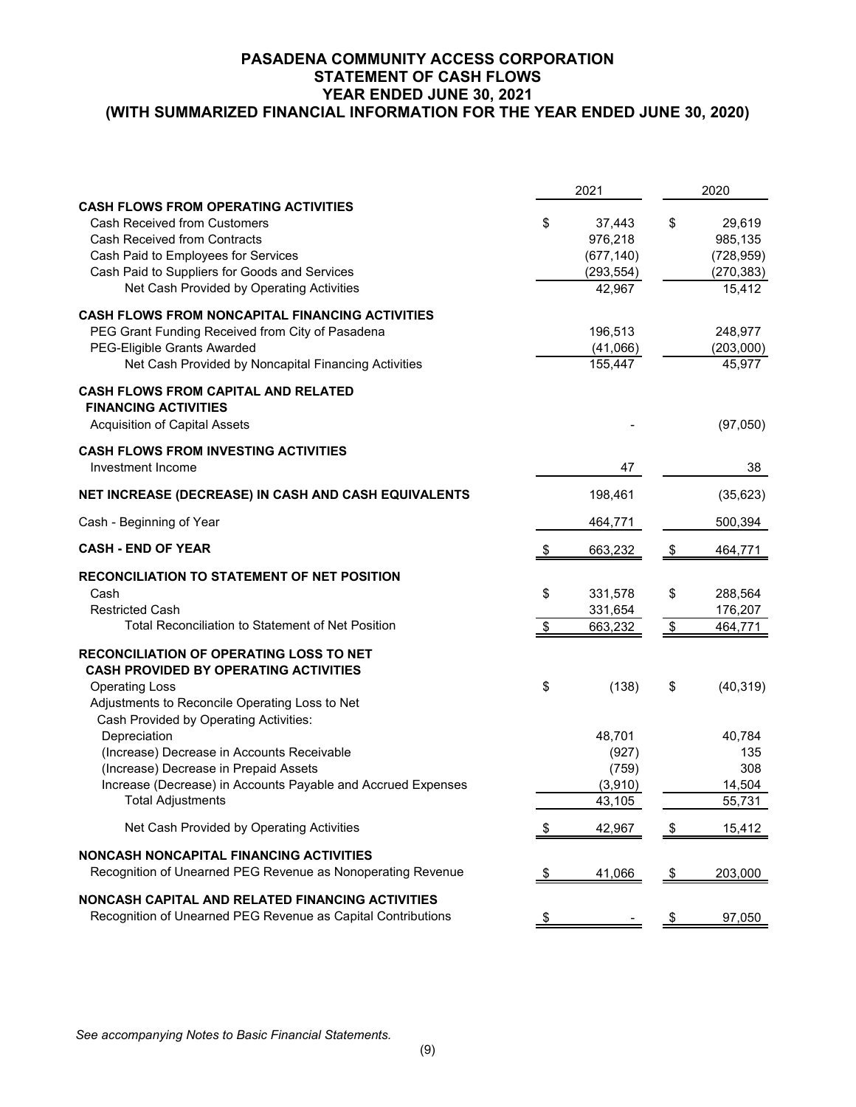## **PASADENA COMMUNITY ACCESS CORPORATION STATEMENT OF CASH FLOWS YEAR ENDED JUNE 30, 2021 (WITH SUMMARIZED FINANCIAL INFORMATION FOR THE YEAR ENDED JUNE 30, 2020)**

|                                                                                                                                                                                                                                                                                                                            |                     | 2021                                                    |               | 2020                                                    |
|----------------------------------------------------------------------------------------------------------------------------------------------------------------------------------------------------------------------------------------------------------------------------------------------------------------------------|---------------------|---------------------------------------------------------|---------------|---------------------------------------------------------|
| <b>CASH FLOWS FROM OPERATING ACTIVITIES</b><br><b>Cash Received from Customers</b><br><b>Cash Received from Contracts</b><br>Cash Paid to Employees for Services<br>Cash Paid to Suppliers for Goods and Services<br>Net Cash Provided by Operating Activities                                                             | \$                  | 37,443<br>976,218<br>(677, 140)<br>(293, 554)<br>42,967 | \$            | 29,619<br>985,135<br>(728, 959)<br>(270, 383)<br>15,412 |
| <b>CASH FLOWS FROM NONCAPITAL FINANCING ACTIVITIES</b><br>PEG Grant Funding Received from City of Pasadena<br>PEG-Eligible Grants Awarded<br>Net Cash Provided by Noncapital Financing Activities                                                                                                                          |                     | 196,513<br>(41,066)<br>155,447                          |               | 248,977<br>(203,000)<br>45,977                          |
| <b>CASH FLOWS FROM CAPITAL AND RELATED</b><br><b>FINANCING ACTIVITIES</b><br><b>Acquisition of Capital Assets</b>                                                                                                                                                                                                          |                     |                                                         |               | (97,050)                                                |
| <b>CASH FLOWS FROM INVESTING ACTIVITIES</b><br>Investment Income                                                                                                                                                                                                                                                           |                     | 47                                                      |               | 38                                                      |
| NET INCREASE (DECREASE) IN CASH AND CASH EQUIVALENTS                                                                                                                                                                                                                                                                       |                     | 198,461                                                 |               | (35, 623)                                               |
| Cash - Beginning of Year                                                                                                                                                                                                                                                                                                   |                     | 464,771                                                 |               | 500,394                                                 |
| <b>CASH - END OF YEAR</b>                                                                                                                                                                                                                                                                                                  | \$                  | 663,232                                                 | $\frac{1}{2}$ | 464,771                                                 |
| RECONCILIATION TO STATEMENT OF NET POSITION<br>Cash<br><b>Restricted Cash</b><br>Total Reconciliation to Statement of Net Position                                                                                                                                                                                         | \$<br>$\frac{1}{2}$ | 331,578<br>331,654<br>663,232                           | \$<br>\$      | 288,564<br>176,207<br>464,771                           |
| <b>RECONCILIATION OF OPERATING LOSS TO NET</b><br><b>CASH PROVIDED BY OPERATING ACTIVITIES</b><br><b>Operating Loss</b><br>Adjustments to Reconcile Operating Loss to Net<br>Cash Provided by Operating Activities:<br>Depreciation<br>(Increase) Decrease in Accounts Receivable<br>(Increase) Decrease in Prepaid Assets | \$                  | (138)<br>48,701<br>(927)<br>(759)                       | \$            | (40, 319)<br>40,784<br>135<br>308                       |
| Increase (Decrease) in Accounts Payable and Accrued Expenses<br><b>Total Adjustments</b>                                                                                                                                                                                                                                   |                     | (3,910)<br>43,105                                       |               | 14,504<br>55,731                                        |
| Net Cash Provided by Operating Activities                                                                                                                                                                                                                                                                                  |                     | 42,967                                                  | \$            | 15,412                                                  |
| <b>NONCASH NONCAPITAL FINANCING ACTIVITIES</b><br>Recognition of Unearned PEG Revenue as Nonoperating Revenue                                                                                                                                                                                                              |                     | 41,066                                                  | \$            | 203,000                                                 |
| NONCASH CAPITAL AND RELATED FINANCING ACTIVITIES<br>Recognition of Unearned PEG Revenue as Capital Contributions                                                                                                                                                                                                           | \$                  |                                                         |               | 97,050                                                  |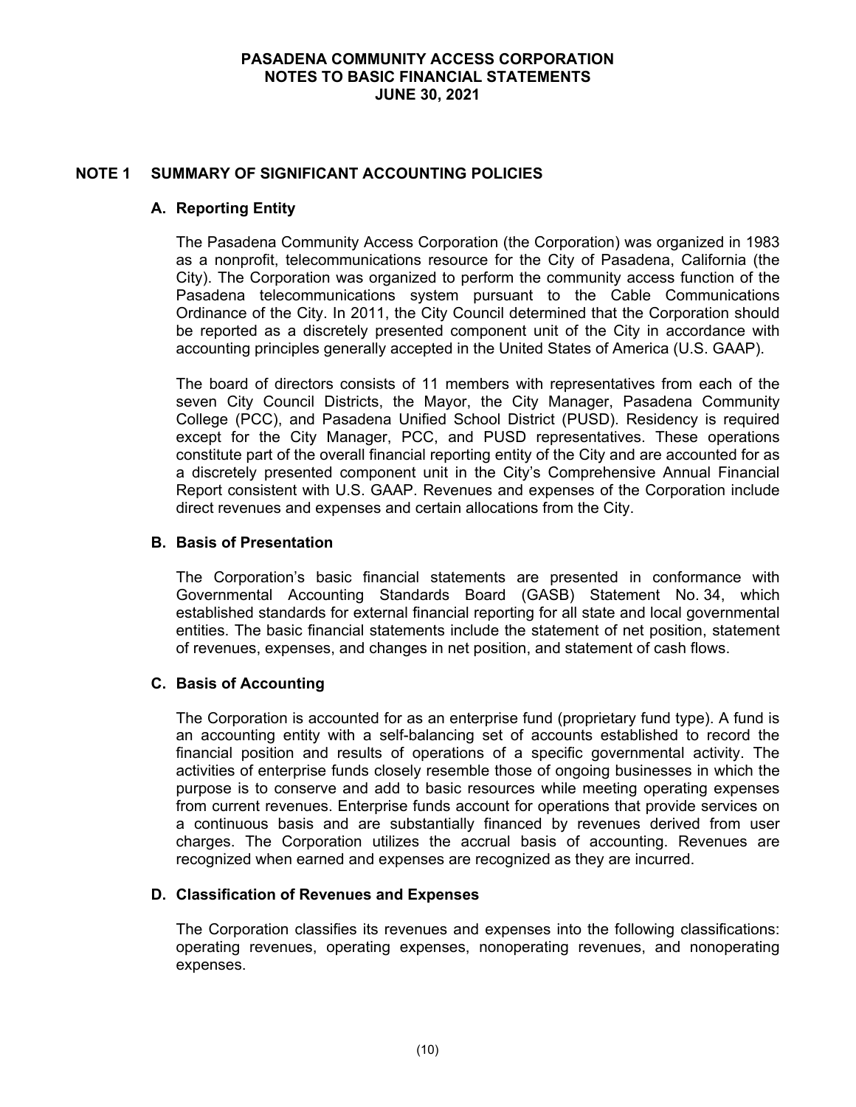## **NOTE 1 SUMMARY OF SIGNIFICANT ACCOUNTING POLICIES**

### **A. Reporting Entity**

The Pasadena Community Access Corporation (the Corporation) was organized in 1983 as a nonprofit, telecommunications resource for the City of Pasadena, California (the City). The Corporation was organized to perform the community access function of the Pasadena telecommunications system pursuant to the Cable Communications Ordinance of the City. In 2011, the City Council determined that the Corporation should be reported as a discretely presented component unit of the City in accordance with accounting principles generally accepted in the United States of America (U.S. GAAP).

The board of directors consists of 11 members with representatives from each of the seven City Council Districts, the Mayor, the City Manager, Pasadena Community College (PCC), and Pasadena Unified School District (PUSD). Residency is required except for the City Manager, PCC, and PUSD representatives. These operations constitute part of the overall financial reporting entity of the City and are accounted for as a discretely presented component unit in the City's Comprehensive Annual Financial Report consistent with U.S. GAAP. Revenues and expenses of the Corporation include direct revenues and expenses and certain allocations from the City.

## **B. Basis of Presentation**

The Corporation's basic financial statements are presented in conformance with Governmental Accounting Standards Board (GASB) Statement No. 34, which established standards for external financial reporting for all state and local governmental entities. The basic financial statements include the statement of net position, statement of revenues, expenses, and changes in net position, and statement of cash flows.

# **C. Basis of Accounting**

The Corporation is accounted for as an enterprise fund (proprietary fund type). A fund is an accounting entity with a self-balancing set of accounts established to record the financial position and results of operations of a specific governmental activity. The activities of enterprise funds closely resemble those of ongoing businesses in which the purpose is to conserve and add to basic resources while meeting operating expenses from current revenues. Enterprise funds account for operations that provide services on a continuous basis and are substantially financed by revenues derived from user charges. The Corporation utilizes the accrual basis of accounting. Revenues are recognized when earned and expenses are recognized as they are incurred.

### **D. Classification of Revenues and Expenses**

The Corporation classifies its revenues and expenses into the following classifications: operating revenues, operating expenses, nonoperating revenues, and nonoperating expenses.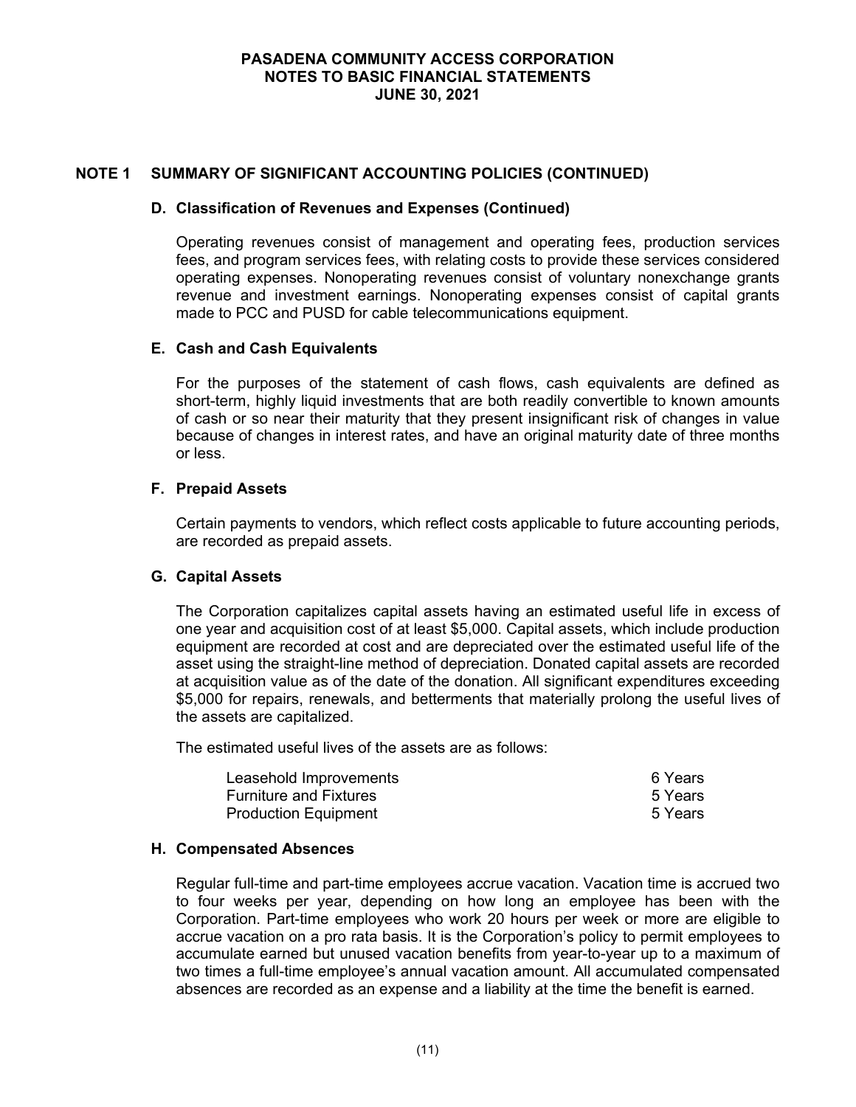## **NOTE 1 SUMMARY OF SIGNIFICANT ACCOUNTING POLICIES (CONTINUED)**

#### **D. Classification of Revenues and Expenses (Continued)**

Operating revenues consist of management and operating fees, production services fees, and program services fees, with relating costs to provide these services considered operating expenses. Nonoperating revenues consist of voluntary nonexchange grants revenue and investment earnings. Nonoperating expenses consist of capital grants made to PCC and PUSD for cable telecommunications equipment.

### **E. Cash and Cash Equivalents**

For the purposes of the statement of cash flows, cash equivalents are defined as short-term, highly liquid investments that are both readily convertible to known amounts of cash or so near their maturity that they present insignificant risk of changes in value because of changes in interest rates, and have an original maturity date of three months or less.

## **F. Prepaid Assets**

Certain payments to vendors, which reflect costs applicable to future accounting periods, are recorded as prepaid assets.

### **G. Capital Assets**

The Corporation capitalizes capital assets having an estimated useful life in excess of one year and acquisition cost of at least \$5,000. Capital assets, which include production equipment are recorded at cost and are depreciated over the estimated useful life of the asset using the straight-line method of depreciation. Donated capital assets are recorded at acquisition value as of the date of the donation. All significant expenditures exceeding \$5,000 for repairs, renewals, and betterments that materially prolong the useful lives of the assets are capitalized.

The estimated useful lives of the assets are as follows:

| Leasehold Improvements        | 6 Years |
|-------------------------------|---------|
| <b>Furniture and Fixtures</b> | 5 Years |
| <b>Production Equipment</b>   | 5 Years |

### **H. Compensated Absences**

Regular full-time and part-time employees accrue vacation. Vacation time is accrued two to four weeks per year, depending on how long an employee has been with the Corporation. Part-time employees who work 20 hours per week or more are eligible to accrue vacation on a pro rata basis. It is the Corporation's policy to permit employees to accumulate earned but unused vacation benefits from year-to-year up to a maximum of two times a full-time employee's annual vacation amount. All accumulated compensated absences are recorded as an expense and a liability at the time the benefit is earned.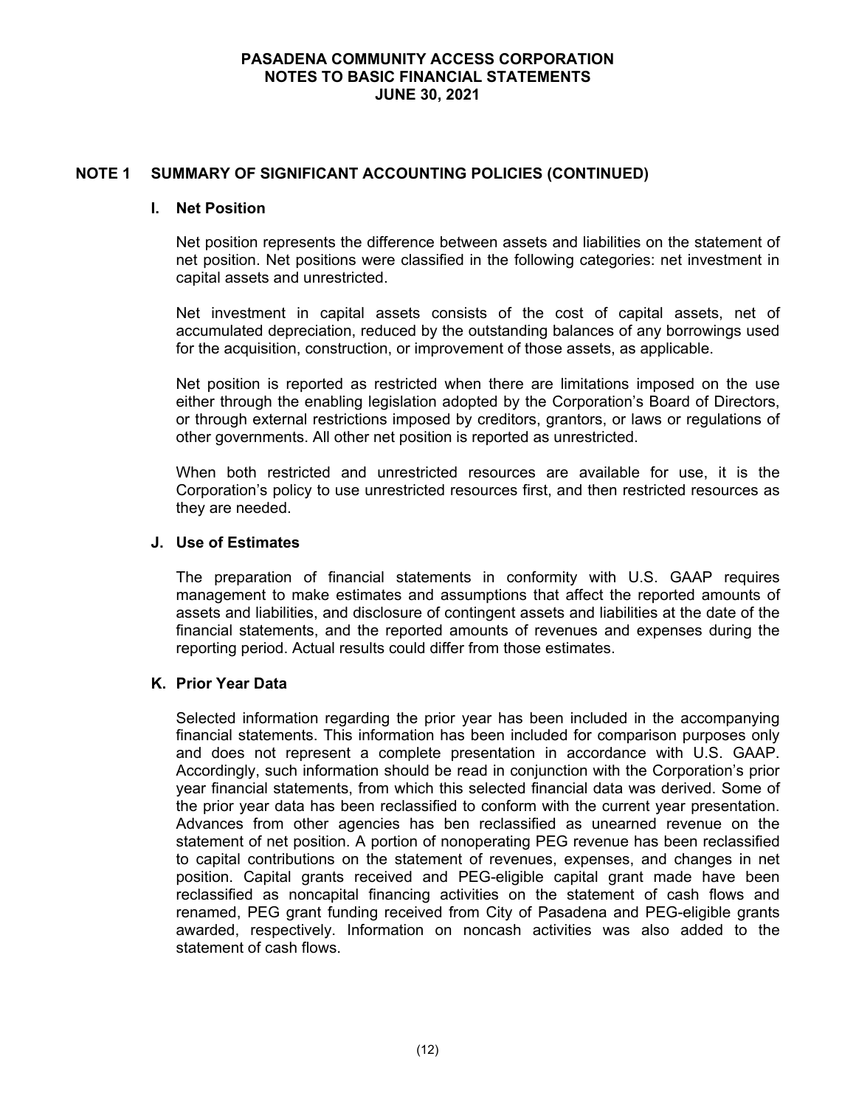## **NOTE 1 SUMMARY OF SIGNIFICANT ACCOUNTING POLICIES (CONTINUED)**

### **I. Net Position**

Net position represents the difference between assets and liabilities on the statement of net position. Net positions were classified in the following categories: net investment in capital assets and unrestricted.

Net investment in capital assets consists of the cost of capital assets, net of accumulated depreciation, reduced by the outstanding balances of any borrowings used for the acquisition, construction, or improvement of those assets, as applicable.

Net position is reported as restricted when there are limitations imposed on the use either through the enabling legislation adopted by the Corporation's Board of Directors, or through external restrictions imposed by creditors, grantors, or laws or regulations of other governments. All other net position is reported as unrestricted.

When both restricted and unrestricted resources are available for use, it is the Corporation's policy to use unrestricted resources first, and then restricted resources as they are needed.

### **J. Use of Estimates**

The preparation of financial statements in conformity with U.S. GAAP requires management to make estimates and assumptions that affect the reported amounts of assets and liabilities, and disclosure of contingent assets and liabilities at the date of the financial statements, and the reported amounts of revenues and expenses during the reporting period. Actual results could differ from those estimates.

### **K. Prior Year Data**

Selected information regarding the prior year has been included in the accompanying financial statements. This information has been included for comparison purposes only and does not represent a complete presentation in accordance with U.S. GAAP. Accordingly, such information should be read in conjunction with the Corporation's prior year financial statements, from which this selected financial data was derived. Some of the prior year data has been reclassified to conform with the current year presentation. Advances from other agencies has ben reclassified as unearned revenue on the statement of net position. A portion of nonoperating PEG revenue has been reclassified to capital contributions on the statement of revenues, expenses, and changes in net position. Capital grants received and PEG-eligible capital grant made have been reclassified as noncapital financing activities on the statement of cash flows and renamed, PEG grant funding received from City of Pasadena and PEG-eligible grants awarded, respectively. Information on noncash activities was also added to the statement of cash flows.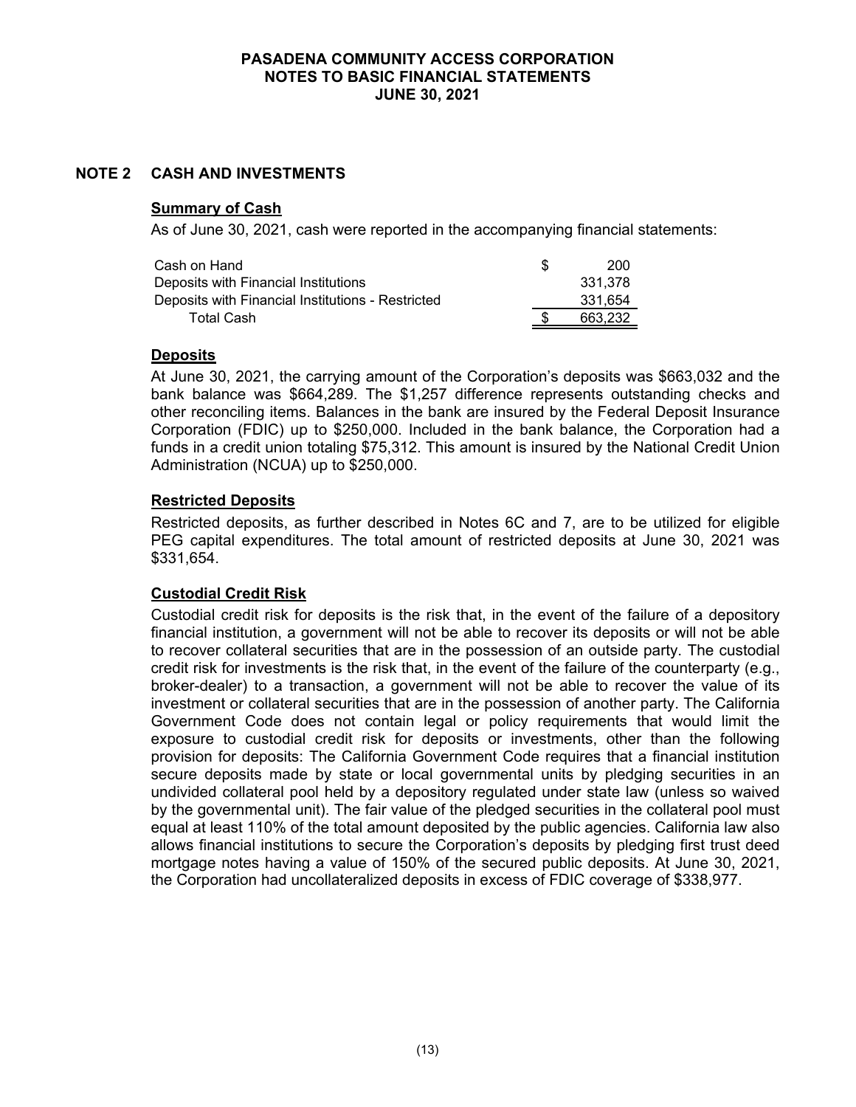## **NOTE 2 CASH AND INVESTMENTS**

### **Summary of Cash**

As of June 30, 2021, cash were reported in the accompanying financial statements:

| Cash on Hand                                      | \$. | 200     |
|---------------------------------------------------|-----|---------|
| Deposits with Financial Institutions              |     | 331.378 |
| Deposits with Financial Institutions - Restricted |     | 331,654 |
| Total Cash                                        |     | 663.232 |

## **Deposits**

At June 30, 2021, the carrying amount of the Corporation's deposits was \$663,032 and the bank balance was \$664,289. The \$1,257 difference represents outstanding checks and other reconciling items. Balances in the bank are insured by the Federal Deposit Insurance Corporation (FDIC) up to \$250,000. Included in the bank balance, the Corporation had a funds in a credit union totaling \$75,312. This amount is insured by the National Credit Union Administration (NCUA) up to \$250,000.

# **Restricted Deposits**

Restricted deposits, as further described in Notes 6C and 7, are to be utilized for eligible PEG capital expenditures. The total amount of restricted deposits at June 30, 2021 was \$331,654.

# **Custodial Credit Risk**

Custodial credit risk for deposits is the risk that, in the event of the failure of a depository financial institution, a government will not be able to recover its deposits or will not be able to recover collateral securities that are in the possession of an outside party. The custodial credit risk for investments is the risk that, in the event of the failure of the counterparty (e.g., broker-dealer) to a transaction, a government will not be able to recover the value of its investment or collateral securities that are in the possession of another party. The California Government Code does not contain legal or policy requirements that would limit the exposure to custodial credit risk for deposits or investments, other than the following provision for deposits: The California Government Code requires that a financial institution secure deposits made by state or local governmental units by pledging securities in an undivided collateral pool held by a depository regulated under state law (unless so waived by the governmental unit). The fair value of the pledged securities in the collateral pool must equal at least 110% of the total amount deposited by the public agencies. California law also allows financial institutions to secure the Corporation's deposits by pledging first trust deed mortgage notes having a value of 150% of the secured public deposits. At June 30, 2021, the Corporation had uncollateralized deposits in excess of FDIC coverage of \$338,977.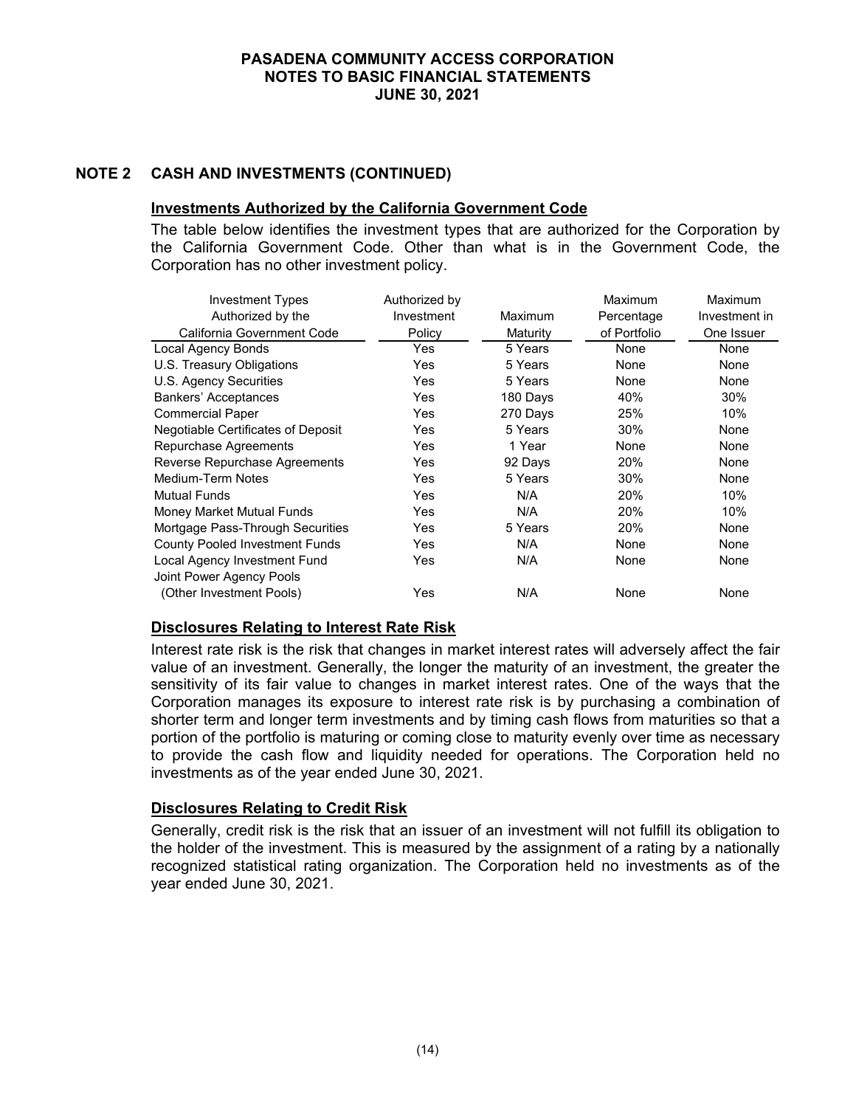## **NOTE 2 CASH AND INVESTMENTS (CONTINUED)**

#### **Investments Authorized by the California Government Code**

The table below identifies the investment types that are authorized for the Corporation by the California Government Code. Other than what is in the Government Code, the Corporation has no other investment policy.

| <b>Investment Types</b><br>Authorized by the<br>California Government Code | Authorized by<br>Investment<br>Policy | Maximum<br>Maturity | Maximum<br>Percentage<br>of Portfolio | Maximum<br>Investment in<br>One Issuer |
|----------------------------------------------------------------------------|---------------------------------------|---------------------|---------------------------------------|----------------------------------------|
| Local Agency Bonds                                                         | Yes                                   | 5 Years             | None                                  | None                                   |
| U.S. Treasury Obligations                                                  | Yes                                   | 5 Years             | None                                  | None                                   |
| U.S. Agency Securities                                                     | Yes                                   | 5 Years             | None                                  | None                                   |
| <b>Bankers' Acceptances</b>                                                | Yes.                                  | 180 Days            | 40%                                   | 30%                                    |
| <b>Commercial Paper</b>                                                    | Yes                                   | 270 Days            | 25%                                   | 10%                                    |
| Negotiable Certificates of Deposit                                         | Yes                                   | 5 Years             | 30%                                   | None                                   |
| Repurchase Agreements                                                      | Yes                                   | 1 Year              | None                                  | None                                   |
| Reverse Repurchase Agreements                                              | Yes.                                  | 92 Days             | 20%                                   | None                                   |
| Medium-Term Notes                                                          | Yes.                                  | 5 Years             | 30%                                   | None                                   |
| <b>Mutual Funds</b>                                                        | Yes.                                  | N/A                 | 20%                                   | 10%                                    |
| Money Market Mutual Funds                                                  | Yes.                                  | N/A                 | 20%                                   | 10%                                    |
| Mortgage Pass-Through Securities                                           | Yes                                   | 5 Years             | 20%                                   | None                                   |
| <b>County Pooled Investment Funds</b>                                      | Yes                                   | N/A                 | None                                  | None                                   |
| Local Agency Investment Fund<br>Joint Power Agency Pools                   | Yes                                   | N/A                 | None                                  | None                                   |
| (Other Investment Pools)                                                   | Yes                                   | N/A                 | None                                  | None                                   |

### **Disclosures Relating to Interest Rate Risk**

Interest rate risk is the risk that changes in market interest rates will adversely affect the fair value of an investment. Generally, the longer the maturity of an investment, the greater the sensitivity of its fair value to changes in market interest rates. One of the ways that the Corporation manages its exposure to interest rate risk is by purchasing a combination of shorter term and longer term investments and by timing cash flows from maturities so that a portion of the portfolio is maturing or coming close to maturity evenly over time as necessary to provide the cash flow and liquidity needed for operations. The Corporation held no investments as of the year ended June 30, 2021.

### **Disclosures Relating to Credit Risk**

Generally, credit risk is the risk that an issuer of an investment will not fulfill its obligation to the holder of the investment. This is measured by the assignment of a rating by a nationally recognized statistical rating organization. The Corporation held no investments as of the year ended June 30, 2021.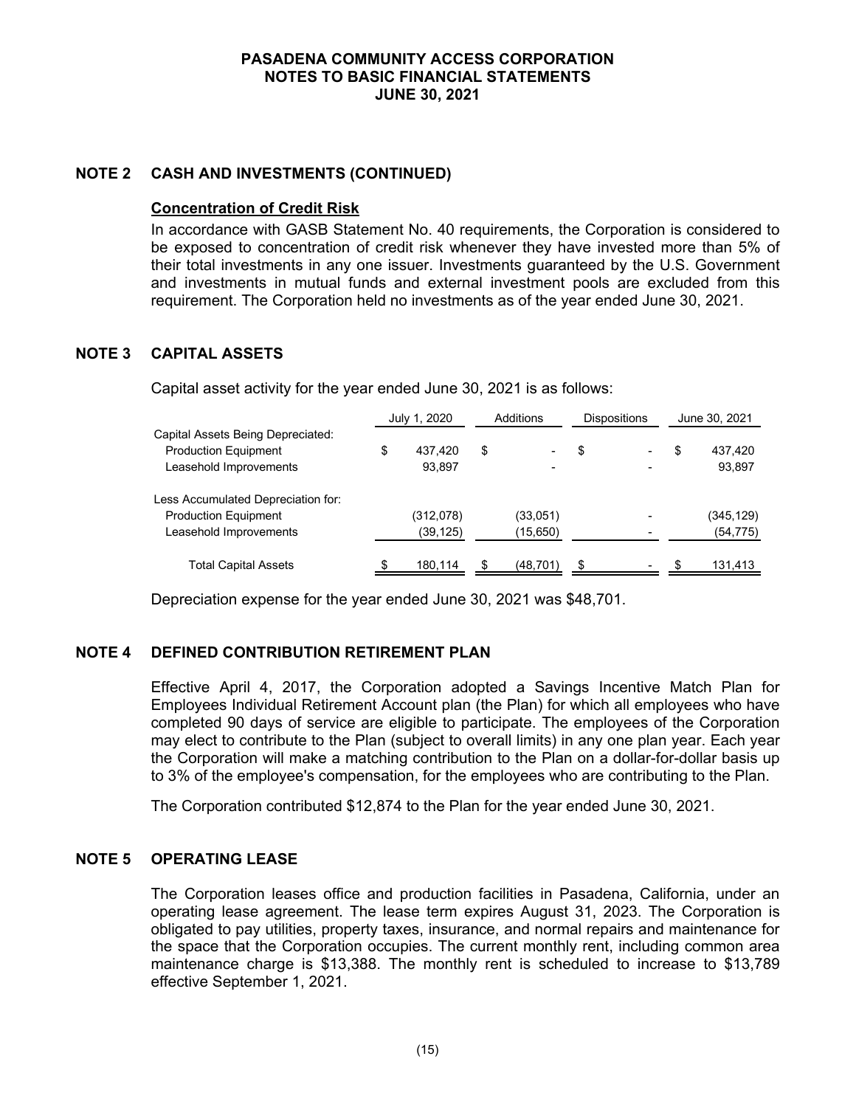## **NOTE 2 CASH AND INVESTMENTS (CONTINUED)**

### **Concentration of Credit Risk**

In accordance with GASB Statement No. 40 requirements, the Corporation is considered to be exposed to concentration of credit risk whenever they have invested more than 5% of their total investments in any one issuer. Investments guaranteed by the U.S. Government and investments in mutual funds and external investment pools are excluded from this requirement. The Corporation held no investments as of the year ended June 30, 2021.

# **NOTE 3 CAPITAL ASSETS**

Capital asset activity for the year ended June 30, 2021 is as follows:

|                                    | July 1, 2020  |    | Additions | <b>Dispositions</b> |   | June 30, 2021 |
|------------------------------------|---------------|----|-----------|---------------------|---|---------------|
| Capital Assets Being Depreciated:  |               |    |           |                     |   |               |
| <b>Production Equipment</b>        | \$<br>437.420 | \$ |           | \$                  | S | 437,420       |
| Leasehold Improvements             | 93.897        |    |           |                     |   | 93,897        |
| Less Accumulated Depreciation for: |               |    |           |                     |   |               |
| <b>Production Equipment</b>        | (312,078)     |    | (33.051)  |                     |   | (345, 129)    |
| Leasehold Improvements             | (39,125)      |    | (15,650)  |                     |   | (54, 775)     |
| <b>Total Capital Assets</b>        | 180,114       | S  | (48,701)  | \$                  |   | 131,413       |

Depreciation expense for the year ended June 30, 2021 was \$48,701.

## **NOTE 4 DEFINED CONTRIBUTION RETIREMENT PLAN**

Effective April 4, 2017, the Corporation adopted a Savings Incentive Match Plan for Employees Individual Retirement Account plan (the Plan) for which all employees who have completed 90 days of service are eligible to participate. The employees of the Corporation may elect to contribute to the Plan (subject to overall limits) in any one plan year. Each year the Corporation will make a matching contribution to the Plan on a dollar-for-dollar basis up to 3% of the employee's compensation, for the employees who are contributing to the Plan.

The Corporation contributed \$12,874 to the Plan for the year ended June 30, 2021.

### **NOTE 5 OPERATING LEASE**

The Corporation leases office and production facilities in Pasadena, California, under an operating lease agreement. The lease term expires August 31, 2023. The Corporation is obligated to pay utilities, property taxes, insurance, and normal repairs and maintenance for the space that the Corporation occupies. The current monthly rent, including common area maintenance charge is \$13,388. The monthly rent is scheduled to increase to \$13,789 effective September 1, 2021.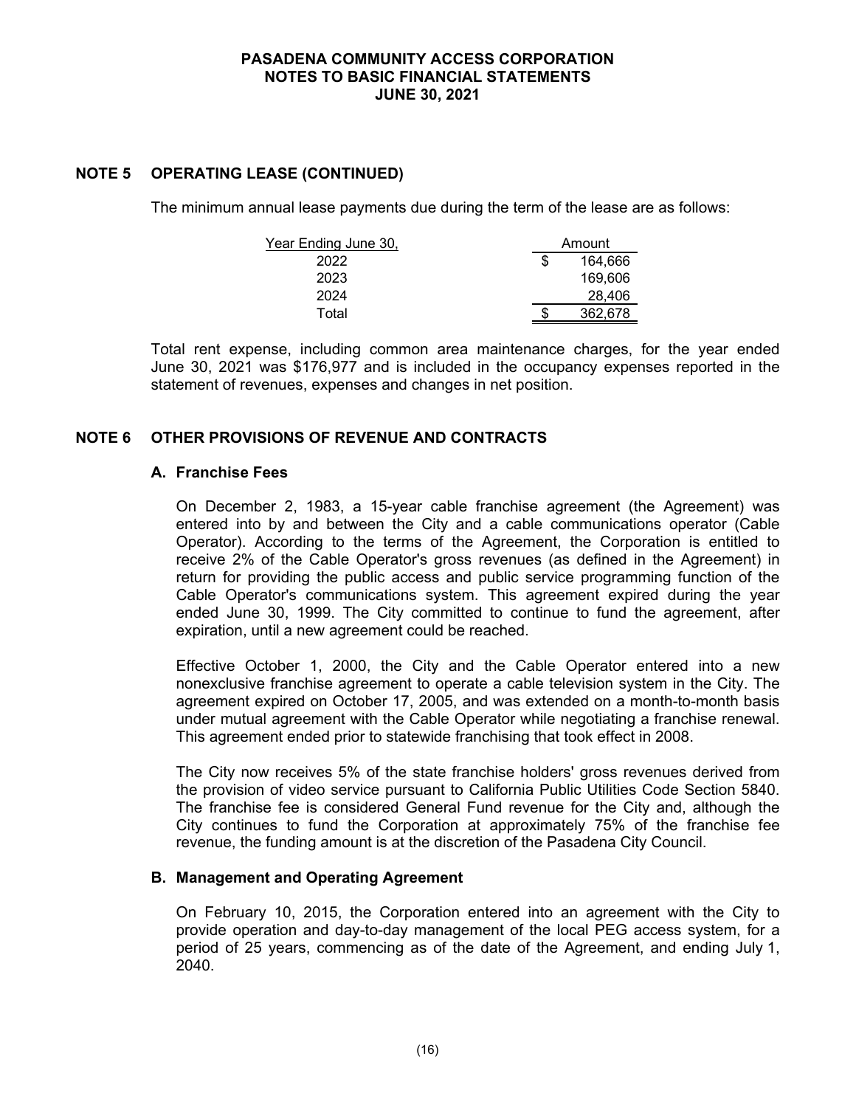## **NOTE 5 OPERATING LEASE (CONTINUED)**

The minimum annual lease payments due during the term of the lease are as follows:

| Year Ending June 30, | Amount |         |  |
|----------------------|--------|---------|--|
| 2022                 | S      | 164,666 |  |
| 2023                 |        | 169.606 |  |
| 2024                 |        | 28.406  |  |
| Total                |        | 362.678 |  |

Total rent expense, including common area maintenance charges, for the year ended June 30, 2021 was \$176,977 and is included in the occupancy expenses reported in the statement of revenues, expenses and changes in net position.

## **NOTE 6 OTHER PROVISIONS OF REVENUE AND CONTRACTS**

#### **A. Franchise Fees**

On December 2, 1983, a 15-year cable franchise agreement (the Agreement) was entered into by and between the City and a cable communications operator (Cable Operator). According to the terms of the Agreement, the Corporation is entitled to receive 2% of the Cable Operator's gross revenues (as defined in the Agreement) in return for providing the public access and public service programming function of the Cable Operator's communications system. This agreement expired during the year ended June 30, 1999. The City committed to continue to fund the agreement, after expiration, until a new agreement could be reached.

Effective October 1, 2000, the City and the Cable Operator entered into a new nonexclusive franchise agreement to operate a cable television system in the City. The agreement expired on October 17, 2005, and was extended on a month-to-month basis under mutual agreement with the Cable Operator while negotiating a franchise renewal. This agreement ended prior to statewide franchising that took effect in 2008.

The City now receives 5% of the state franchise holders' gross revenues derived from the provision of video service pursuant to California Public Utilities Code Section 5840. The franchise fee is considered General Fund revenue for the City and, although the City continues to fund the Corporation at approximately 75% of the franchise fee revenue, the funding amount is at the discretion of the Pasadena City Council.

### **B. Management and Operating Agreement**

On February 10, 2015, the Corporation entered into an agreement with the City to provide operation and day-to-day management of the local PEG access system, for a period of 25 years, commencing as of the date of the Agreement, and ending July 1, 2040.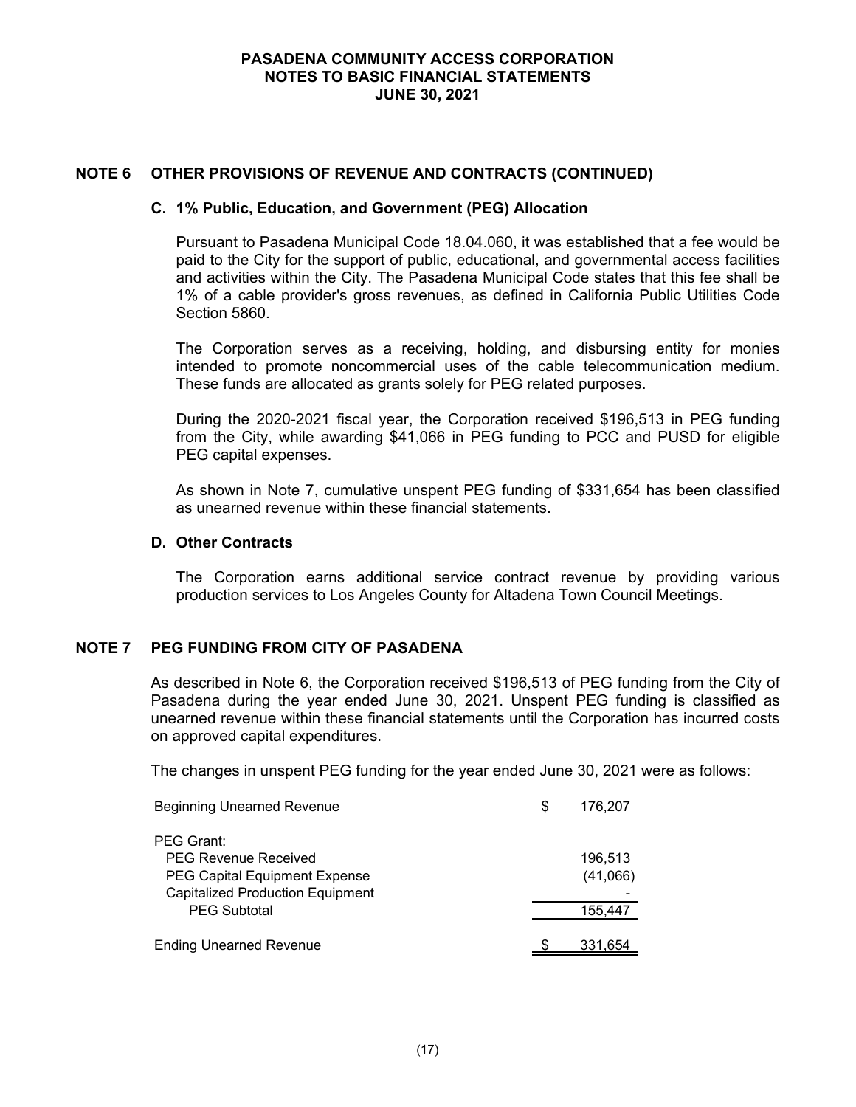## **NOTE 6 OTHER PROVISIONS OF REVENUE AND CONTRACTS (CONTINUED)**

#### **C. 1% Public, Education, and Government (PEG) Allocation**

Pursuant to Pasadena Municipal Code 18.04.060, it was established that a fee would be paid to the City for the support of public, educational, and governmental access facilities and activities within the City. The Pasadena Municipal Code states that this fee shall be 1% of a cable provider's gross revenues, as defined in California Public Utilities Code Section 5860.

The Corporation serves as a receiving, holding, and disbursing entity for monies intended to promote noncommercial uses of the cable telecommunication medium. These funds are allocated as grants solely for PEG related purposes.

During the 2020-2021 fiscal year, the Corporation received \$196,513 in PEG funding from the City, while awarding \$41,066 in PEG funding to PCC and PUSD for eligible PEG capital expenses.

As shown in Note 7, cumulative unspent PEG funding of \$331,654 has been classified as unearned revenue within these financial statements.

### **D. Other Contracts**

The Corporation earns additional service contract revenue by providing various production services to Los Angeles County for Altadena Town Council Meetings.

## **NOTE 7 PEG FUNDING FROM CITY OF PASADENA**

As described in Note 6, the Corporation received \$196,513 of PEG funding from the City of Pasadena during the year ended June 30, 2021. Unspent PEG funding is classified as unearned revenue within these financial statements until the Corporation has incurred costs on approved capital expenditures.

The changes in unspent PEG funding for the year ended June 30, 2021 were as follows:

| Beginning Unearned Revenue              | S | 176,207  |  |
|-----------------------------------------|---|----------|--|
| PEG Grant:                              |   |          |  |
| <b>PEG Revenue Received</b>             |   | 196,513  |  |
| <b>PEG Capital Equipment Expense</b>    |   | (41,066) |  |
| <b>Capitalized Production Equipment</b> |   |          |  |
| <b>PEG Subtotal</b>                     |   | 155.447  |  |
|                                         |   |          |  |
| Ending Unearned Revenue                 |   | 331,654  |  |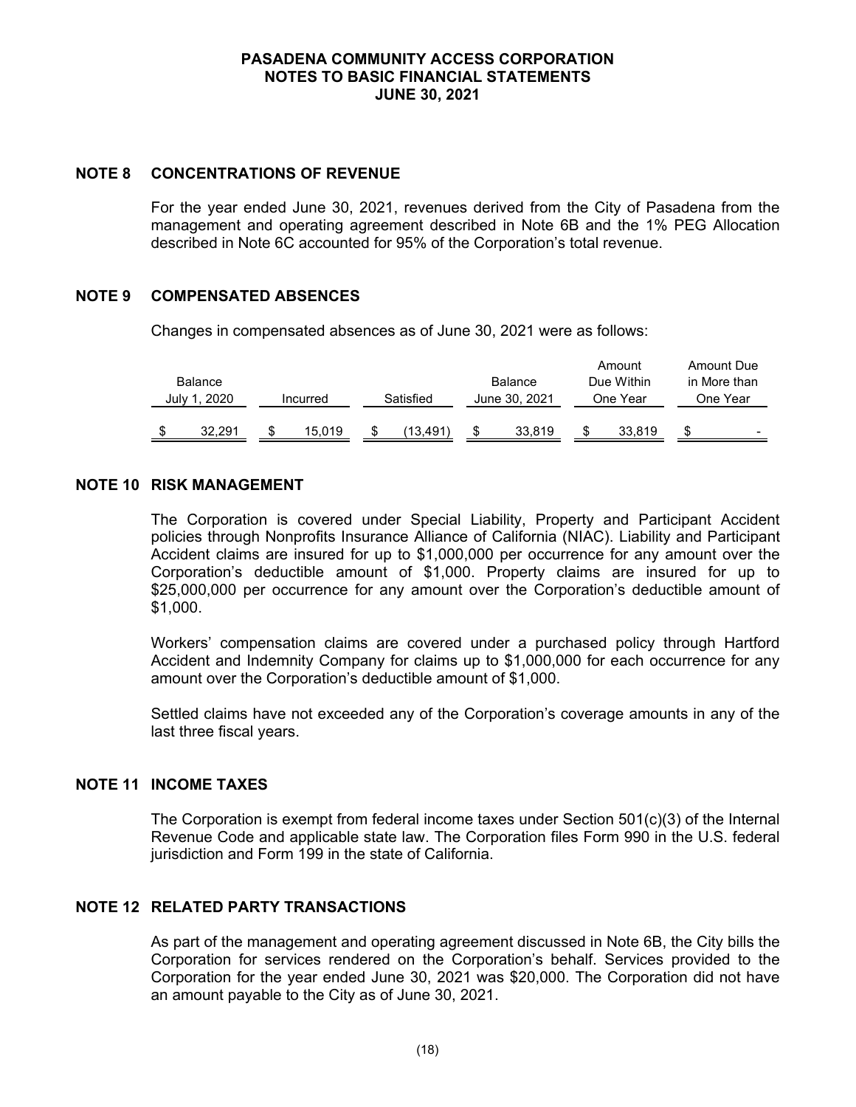### **NOTE 8 CONCENTRATIONS OF REVENUE**

For the year ended June 30, 2021, revenues derived from the City of Pasadena from the management and operating agreement described in Note 6B and the 1% PEG Allocation described in Note 6C accounted for 95% of the Corporation's total revenue.

# **NOTE 9 COMPENSATED ABSENCES**

Changes in compensated absences as of June 30, 2021 were as follows:

| <b>Balance</b><br>2020<br>July |        | Satisfied<br>Incurred |        |  | <b>Balance</b><br>June 30, 2021 |  | Amount<br>Due Within<br>One Year |    | Amount Due<br>in More than<br>One Year |    |   |
|--------------------------------|--------|-----------------------|--------|--|---------------------------------|--|----------------------------------|----|----------------------------------------|----|---|
|                                | 32.291 | S                     | 15.019 |  | 13.491                          |  | 33.819                           | ۰D | 33.819                                 | ۰D | - |

## **NOTE 10 RISK MANAGEMENT**

The Corporation is covered under Special Liability, Property and Participant Accident policies through Nonprofits Insurance Alliance of California (NIAC). Liability and Participant Accident claims are insured for up to \$1,000,000 per occurrence for any amount over the Corporation's deductible amount of \$1,000. Property claims are insured for up to \$25,000,000 per occurrence for any amount over the Corporation's deductible amount of \$1,000.

Workers' compensation claims are covered under a purchased policy through Hartford Accident and Indemnity Company for claims up to \$1,000,000 for each occurrence for any amount over the Corporation's deductible amount of \$1,000.

Settled claims have not exceeded any of the Corporation's coverage amounts in any of the last three fiscal years.

# **NOTE 11 INCOME TAXES**

The Corporation is exempt from federal income taxes under Section 501(c)(3) of the Internal Revenue Code and applicable state law. The Corporation files Form 990 in the U.S. federal jurisdiction and Form 199 in the state of California.

# **NOTE 12 RELATED PARTY TRANSACTIONS**

As part of the management and operating agreement discussed in Note 6B, the City bills the Corporation for services rendered on the Corporation's behalf. Services provided to the Corporation for the year ended June 30, 2021 was \$20,000. The Corporation did not have an amount payable to the City as of June 30, 2021.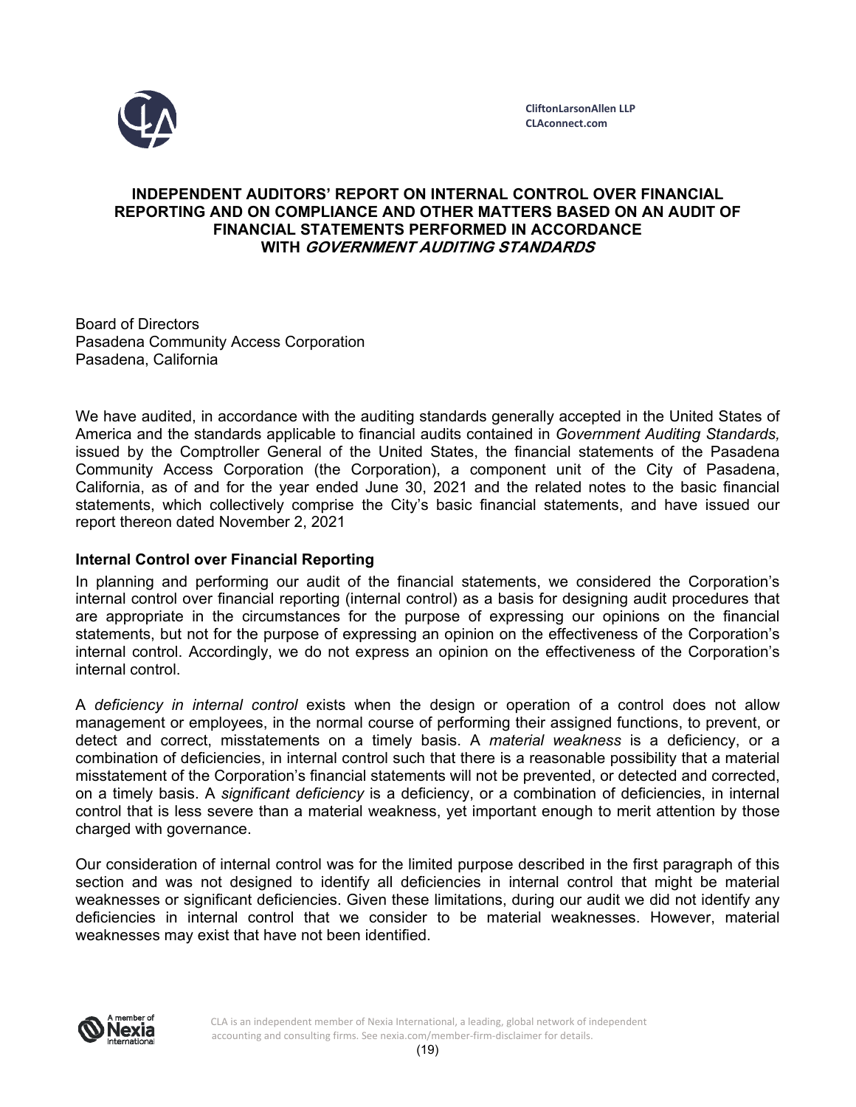

# **INDEPENDENT AUDITORS' REPORT ON INTERNAL CONTROL OVER FINANCIAL REPORTING AND ON COMPLIANCE AND OTHER MATTERS BASED ON AN AUDIT OF FINANCIAL STATEMENTS PERFORMED IN ACCORDANCE WITH GOVERNMENT AUDITING STANDARDS**

Board of Directors Pasadena Community Access Corporation Pasadena, California

We have audited, in accordance with the auditing standards generally accepted in the United States of America and the standards applicable to financial audits contained in *Government Auditing Standards,* issued by the Comptroller General of the United States, the financial statements of the Pasadena Community Access Corporation (the Corporation), a component unit of the City of Pasadena, California, as of and for the year ended June 30, 2021 and the related notes to the basic financial statements, which collectively comprise the City's basic financial statements, and have issued our report thereon dated November 2, 2021

# **Internal Control over Financial Reporting**

In planning and performing our audit of the financial statements, we considered the Corporation's internal control over financial reporting (internal control) as a basis for designing audit procedures that are appropriate in the circumstances for the purpose of expressing our opinions on the financial statements, but not for the purpose of expressing an opinion on the effectiveness of the Corporation's internal control. Accordingly, we do not express an opinion on the effectiveness of the Corporation's internal control.

A *deficiency in internal control* exists when the design or operation of a control does not allow management or employees, in the normal course of performing their assigned functions, to prevent, or detect and correct, misstatements on a timely basis. A *material weakness* is a deficiency, or a combination of deficiencies, in internal control such that there is a reasonable possibility that a material misstatement of the Corporation's financial statements will not be prevented, or detected and corrected, on a timely basis. A *significant deficiency* is a deficiency, or a combination of deficiencies, in internal control that is less severe than a material weakness, yet important enough to merit attention by those charged with governance.

Our consideration of internal control was for the limited purpose described in the first paragraph of this section and was not designed to identify all deficiencies in internal control that might be material weaknesses or significant deficiencies. Given these limitations, during our audit we did not identify any deficiencies in internal control that we consider to be material weaknesses. However, material weaknesses may exist that have not been identified.



CLA is an independent member of Nexia International, a leading, global network of independent accounting and consulting firms. See nexia.com/member‐firm‐disclaimer for details.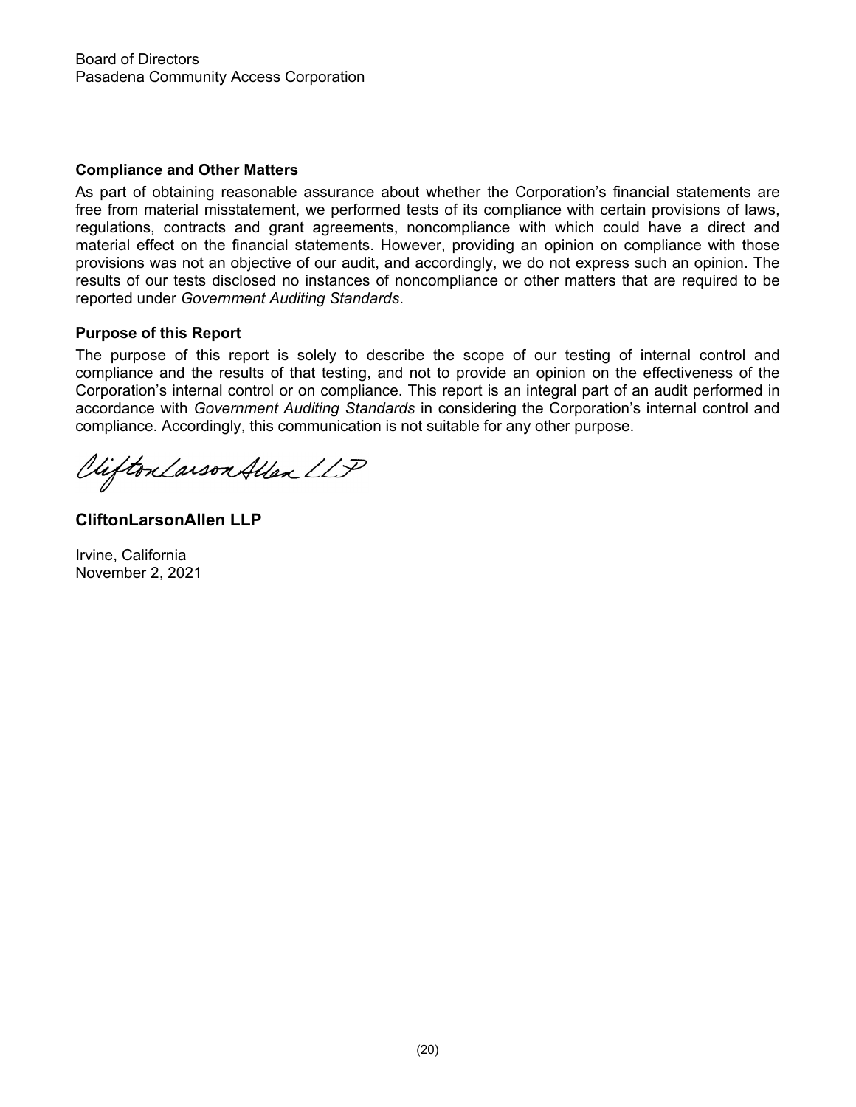## **Compliance and Other Matters**

As part of obtaining reasonable assurance about whether the Corporation's financial statements are free from material misstatement, we performed tests of its compliance with certain provisions of laws, regulations, contracts and grant agreements, noncompliance with which could have a direct and material effect on the financial statements. However, providing an opinion on compliance with those provisions was not an objective of our audit, and accordingly, we do not express such an opinion. The results of our tests disclosed no instances of noncompliance or other matters that are required to be reported under *Government Auditing Standards*.

## **Purpose of this Report**

The purpose of this report is solely to describe the scope of our testing of internal control and compliance and the results of that testing, and not to provide an opinion on the effectiveness of the Corporation's internal control or on compliance. This report is an integral part of an audit performed in accordance with *Government Auditing Standards* in considering the Corporation's internal control and compliance. Accordingly, this communication is not suitable for any other purpose.

Clifton Larson Allen LLP

**CliftonLarsonAllen LLP** 

Irvine, California November 2, 2021